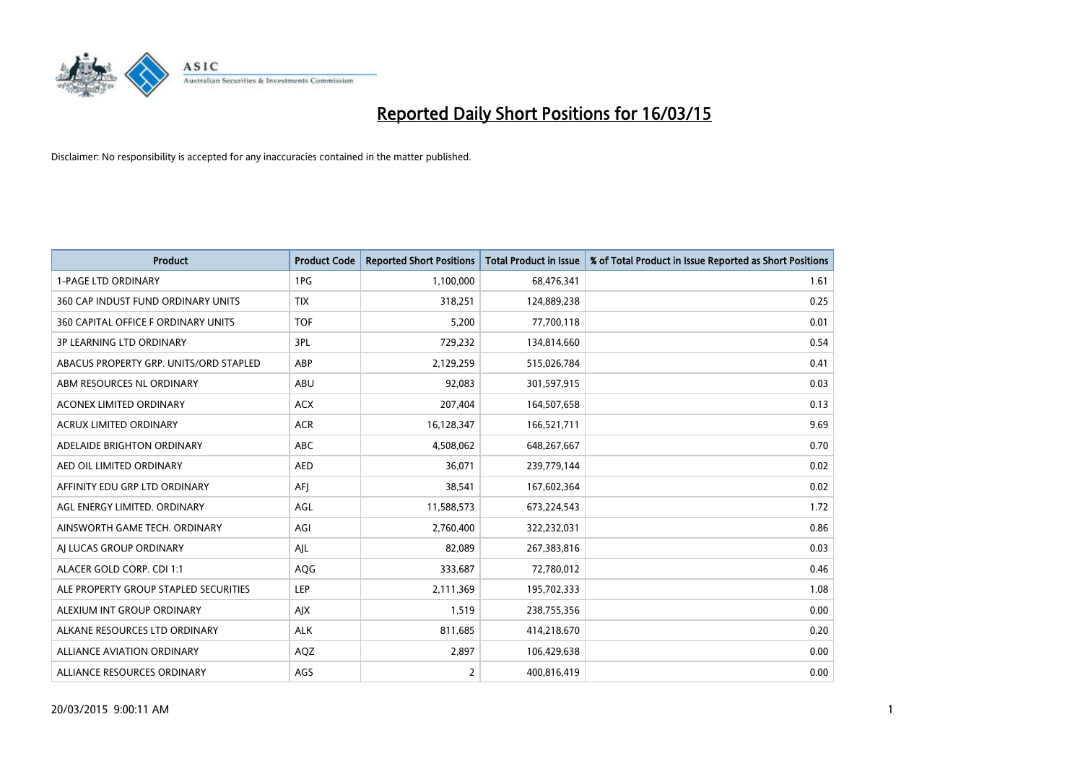

| <b>Product</b>                         | <b>Product Code</b> | <b>Reported Short Positions</b> | <b>Total Product in Issue</b> | % of Total Product in Issue Reported as Short Positions |
|----------------------------------------|---------------------|---------------------------------|-------------------------------|---------------------------------------------------------|
| <b>1-PAGE LTD ORDINARY</b>             | 1PG                 | 1,100,000                       | 68,476,341                    | 1.61                                                    |
| 360 CAP INDUST FUND ORDINARY UNITS     | <b>TIX</b>          | 318,251                         | 124,889,238                   | 0.25                                                    |
| 360 CAPITAL OFFICE F ORDINARY UNITS    | <b>TOF</b>          | 5,200                           | 77,700,118                    | 0.01                                                    |
| <b>3P LEARNING LTD ORDINARY</b>        | 3PL                 | 729,232                         | 134,814,660                   | 0.54                                                    |
| ABACUS PROPERTY GRP. UNITS/ORD STAPLED | ABP                 | 2,129,259                       | 515,026,784                   | 0.41                                                    |
| ABM RESOURCES NL ORDINARY              | ABU                 | 92,083                          | 301,597,915                   | 0.03                                                    |
| <b>ACONEX LIMITED ORDINARY</b>         | <b>ACX</b>          | 207,404                         | 164,507,658                   | 0.13                                                    |
| ACRUX LIMITED ORDINARY                 | <b>ACR</b>          | 16,128,347                      | 166,521,711                   | 9.69                                                    |
| ADELAIDE BRIGHTON ORDINARY             | <b>ABC</b>          | 4,508,062                       | 648,267,667                   | 0.70                                                    |
| AED OIL LIMITED ORDINARY               | <b>AED</b>          | 36,071                          | 239,779,144                   | 0.02                                                    |
| AFFINITY EDU GRP LTD ORDINARY          | AFI                 | 38,541                          | 167,602,364                   | 0.02                                                    |
| AGL ENERGY LIMITED. ORDINARY           | AGL                 | 11,588,573                      | 673,224,543                   | 1.72                                                    |
| AINSWORTH GAME TECH. ORDINARY          | AGI                 | 2,760,400                       | 322,232,031                   | 0.86                                                    |
| AI LUCAS GROUP ORDINARY                | AJL                 | 82,089                          | 267,383,816                   | 0.03                                                    |
| ALACER GOLD CORP. CDI 1:1              | AQG                 | 333,687                         | 72,780,012                    | 0.46                                                    |
| ALE PROPERTY GROUP STAPLED SECURITIES  | LEP                 | 2,111,369                       | 195,702,333                   | 1.08                                                    |
| ALEXIUM INT GROUP ORDINARY             | AJX                 | 1,519                           | 238,755,356                   | 0.00                                                    |
| ALKANE RESOURCES LTD ORDINARY          | <b>ALK</b>          | 811,685                         | 414,218,670                   | 0.20                                                    |
| ALLIANCE AVIATION ORDINARY             | AQZ                 | 2,897                           | 106,429,638                   | 0.00                                                    |
| ALLIANCE RESOURCES ORDINARY            | AGS                 | 2                               | 400,816,419                   | 0.00                                                    |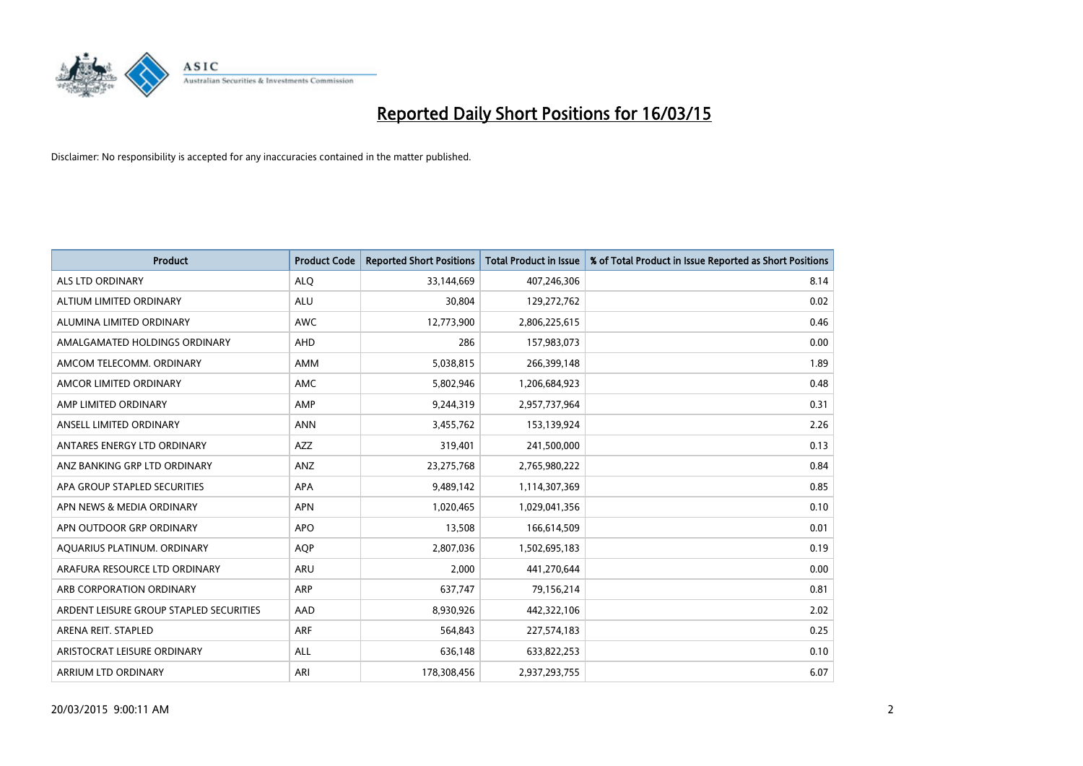

| <b>Product</b>                          | <b>Product Code</b> | <b>Reported Short Positions</b> | <b>Total Product in Issue</b> | % of Total Product in Issue Reported as Short Positions |
|-----------------------------------------|---------------------|---------------------------------|-------------------------------|---------------------------------------------------------|
| <b>ALS LTD ORDINARY</b>                 | <b>ALQ</b>          | 33,144,669                      | 407,246,306                   | 8.14                                                    |
| ALTIUM LIMITED ORDINARY                 | ALU                 | 30,804                          | 129,272,762                   | 0.02                                                    |
| ALUMINA LIMITED ORDINARY                | <b>AWC</b>          | 12,773,900                      | 2,806,225,615                 | 0.46                                                    |
| AMALGAMATED HOLDINGS ORDINARY           | AHD                 | 286                             | 157,983,073                   | 0.00                                                    |
| AMCOM TELECOMM, ORDINARY                | AMM                 | 5,038,815                       | 266,399,148                   | 1.89                                                    |
| AMCOR LIMITED ORDINARY                  | <b>AMC</b>          | 5,802,946                       | 1,206,684,923                 | 0.48                                                    |
| AMP LIMITED ORDINARY                    | AMP                 | 9,244,319                       | 2,957,737,964                 | 0.31                                                    |
| ANSELL LIMITED ORDINARY                 | <b>ANN</b>          | 3,455,762                       | 153,139,924                   | 2.26                                                    |
| ANTARES ENERGY LTD ORDINARY             | <b>AZZ</b>          | 319,401                         | 241,500,000                   | 0.13                                                    |
| ANZ BANKING GRP LTD ORDINARY            | ANZ                 | 23,275,768                      | 2,765,980,222                 | 0.84                                                    |
| APA GROUP STAPLED SECURITIES            | APA                 | 9,489,142                       | 1,114,307,369                 | 0.85                                                    |
| APN NEWS & MEDIA ORDINARY               | <b>APN</b>          | 1,020,465                       | 1,029,041,356                 | 0.10                                                    |
| APN OUTDOOR GRP ORDINARY                | <b>APO</b>          | 13,508                          | 166,614,509                   | 0.01                                                    |
| AQUARIUS PLATINUM. ORDINARY             | <b>AOP</b>          | 2,807,036                       | 1,502,695,183                 | 0.19                                                    |
| ARAFURA RESOURCE LTD ORDINARY           | <b>ARU</b>          | 2,000                           | 441,270,644                   | 0.00                                                    |
| ARB CORPORATION ORDINARY                | ARP                 | 637,747                         | 79,156,214                    | 0.81                                                    |
| ARDENT LEISURE GROUP STAPLED SECURITIES | AAD                 | 8,930,926                       | 442,322,106                   | 2.02                                                    |
| ARENA REIT. STAPLED                     | <b>ARF</b>          | 564,843                         | 227,574,183                   | 0.25                                                    |
| ARISTOCRAT LEISURE ORDINARY             | ALL                 | 636,148                         | 633,822,253                   | 0.10                                                    |
| ARRIUM LTD ORDINARY                     | ARI                 | 178,308,456                     | 2,937,293,755                 | 6.07                                                    |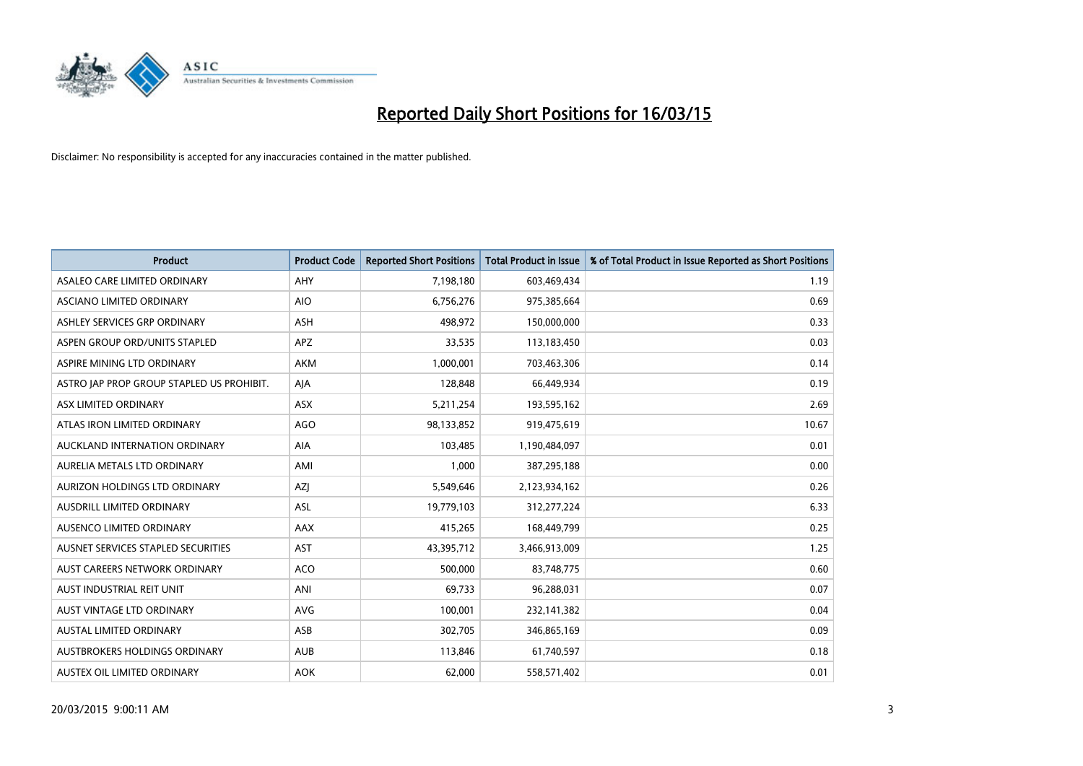

| <b>Product</b>                            | <b>Product Code</b> | <b>Reported Short Positions</b> | <b>Total Product in Issue</b> | % of Total Product in Issue Reported as Short Positions |
|-------------------------------------------|---------------------|---------------------------------|-------------------------------|---------------------------------------------------------|
| ASALEO CARE LIMITED ORDINARY              | AHY                 | 7,198,180                       | 603,469,434                   | 1.19                                                    |
| ASCIANO LIMITED ORDINARY                  | <b>AIO</b>          | 6,756,276                       | 975,385,664                   | 0.69                                                    |
| ASHLEY SERVICES GRP ORDINARY              | <b>ASH</b>          | 498,972                         | 150,000,000                   | 0.33                                                    |
| ASPEN GROUP ORD/UNITS STAPLED             | APZ                 | 33,535                          | 113,183,450                   | 0.03                                                    |
| ASPIRE MINING LTD ORDINARY                | <b>AKM</b>          | 1,000,001                       | 703,463,306                   | 0.14                                                    |
| ASTRO JAP PROP GROUP STAPLED US PROHIBIT. | AJA                 | 128,848                         | 66,449,934                    | 0.19                                                    |
| ASX LIMITED ORDINARY                      | ASX                 | 5,211,254                       | 193,595,162                   | 2.69                                                    |
| ATLAS IRON LIMITED ORDINARY               | <b>AGO</b>          | 98,133,852                      | 919,475,619                   | 10.67                                                   |
| AUCKLAND INTERNATION ORDINARY             | <b>AIA</b>          | 103,485                         | 1,190,484,097                 | 0.01                                                    |
| AURELIA METALS LTD ORDINARY               | AMI                 | 1,000                           | 387,295,188                   | 0.00                                                    |
| AURIZON HOLDINGS LTD ORDINARY             | AZJ                 | 5,549,646                       | 2,123,934,162                 | 0.26                                                    |
| AUSDRILL LIMITED ORDINARY                 | ASL                 | 19,779,103                      | 312,277,224                   | 6.33                                                    |
| AUSENCO LIMITED ORDINARY                  | AAX                 | 415,265                         | 168,449,799                   | 0.25                                                    |
| AUSNET SERVICES STAPLED SECURITIES        | AST                 | 43,395,712                      | 3,466,913,009                 | 1.25                                                    |
| AUST CAREERS NETWORK ORDINARY             | <b>ACO</b>          | 500,000                         | 83,748,775                    | 0.60                                                    |
| AUST INDUSTRIAL REIT UNIT                 | ANI                 | 69,733                          | 96,288,031                    | 0.07                                                    |
| AUST VINTAGE LTD ORDINARY                 | <b>AVG</b>          | 100,001                         | 232,141,382                   | 0.04                                                    |
| AUSTAL LIMITED ORDINARY                   | ASB                 | 302,705                         | 346,865,169                   | 0.09                                                    |
| AUSTBROKERS HOLDINGS ORDINARY             | <b>AUB</b>          | 113,846                         | 61,740,597                    | 0.18                                                    |
| AUSTEX OIL LIMITED ORDINARY               | <b>AOK</b>          | 62,000                          | 558,571,402                   | 0.01                                                    |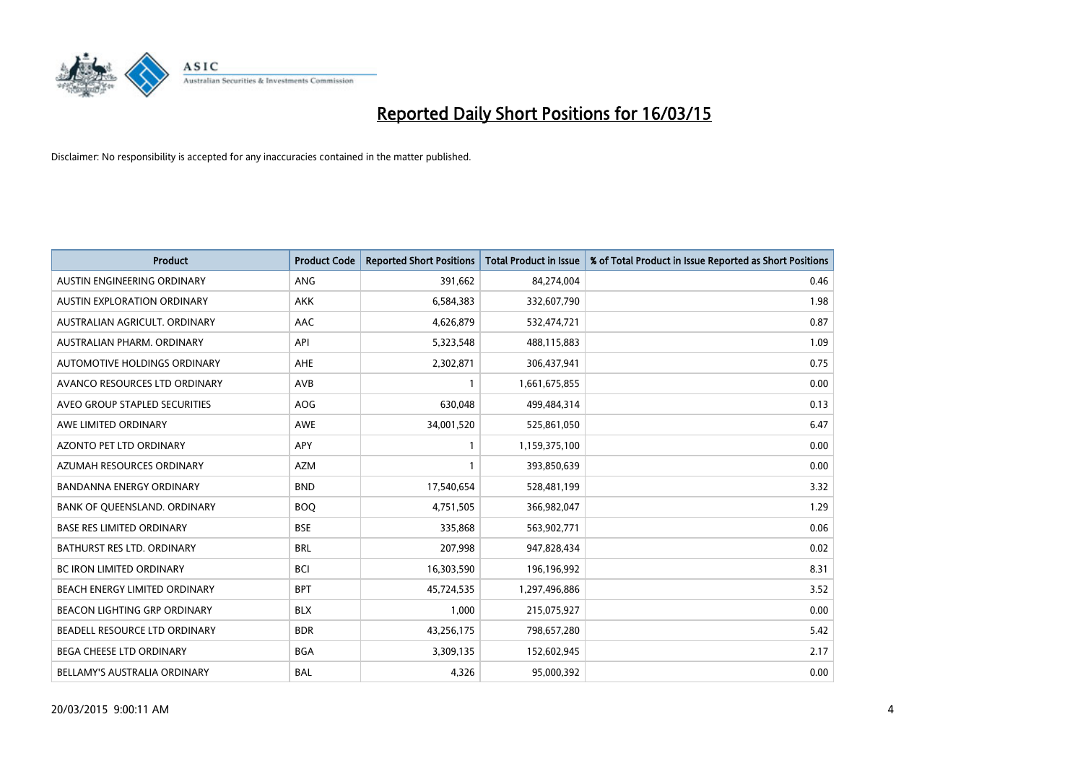

| <b>Product</b>                    | <b>Product Code</b> | <b>Reported Short Positions</b> | <b>Total Product in Issue</b> | % of Total Product in Issue Reported as Short Positions |
|-----------------------------------|---------------------|---------------------------------|-------------------------------|---------------------------------------------------------|
| AUSTIN ENGINEERING ORDINARY       | ANG                 | 391,662                         | 84,274,004                    | 0.46                                                    |
| AUSTIN EXPLORATION ORDINARY       | <b>AKK</b>          | 6,584,383                       | 332,607,790                   | 1.98                                                    |
| AUSTRALIAN AGRICULT. ORDINARY     | AAC                 | 4,626,879                       | 532,474,721                   | 0.87                                                    |
| AUSTRALIAN PHARM, ORDINARY        | API                 | 5,323,548                       | 488,115,883                   | 1.09                                                    |
| AUTOMOTIVE HOLDINGS ORDINARY      | AHE                 | 2,302,871                       | 306,437,941                   | 0.75                                                    |
| AVANCO RESOURCES LTD ORDINARY     | AVB                 | $\mathbf{1}$                    | 1,661,675,855                 | 0.00                                                    |
| AVEO GROUP STAPLED SECURITIES     | AOG                 | 630,048                         | 499,484,314                   | 0.13                                                    |
| AWE LIMITED ORDINARY              | AWE                 | 34,001,520                      | 525,861,050                   | 6.47                                                    |
| <b>AZONTO PET LTD ORDINARY</b>    | APY                 | 1                               | 1,159,375,100                 | 0.00                                                    |
| AZUMAH RESOURCES ORDINARY         | <b>AZM</b>          | $\mathbf{1}$                    | 393,850,639                   | 0.00                                                    |
| BANDANNA ENERGY ORDINARY          | <b>BND</b>          | 17,540,654                      | 528,481,199                   | 3.32                                                    |
| BANK OF QUEENSLAND. ORDINARY      | <b>BOQ</b>          | 4,751,505                       | 366,982,047                   | 1.29                                                    |
| <b>BASE RES LIMITED ORDINARY</b>  | <b>BSE</b>          | 335,868                         | 563,902,771                   | 0.06                                                    |
| <b>BATHURST RES LTD. ORDINARY</b> | <b>BRL</b>          | 207,998                         | 947,828,434                   | 0.02                                                    |
| <b>BC IRON LIMITED ORDINARY</b>   | <b>BCI</b>          | 16,303,590                      | 196,196,992                   | 8.31                                                    |
| BEACH ENERGY LIMITED ORDINARY     | <b>BPT</b>          | 45,724,535                      | 1,297,496,886                 | 3.52                                                    |
| BEACON LIGHTING GRP ORDINARY      | <b>BLX</b>          | 1,000                           | 215,075,927                   | 0.00                                                    |
| BEADELL RESOURCE LTD ORDINARY     | <b>BDR</b>          | 43,256,175                      | 798,657,280                   | 5.42                                                    |
| <b>BEGA CHEESE LTD ORDINARY</b>   | <b>BGA</b>          | 3,309,135                       | 152,602,945                   | 2.17                                                    |
| BELLAMY'S AUSTRALIA ORDINARY      | <b>BAL</b>          | 4,326                           | 95,000,392                    | 0.00                                                    |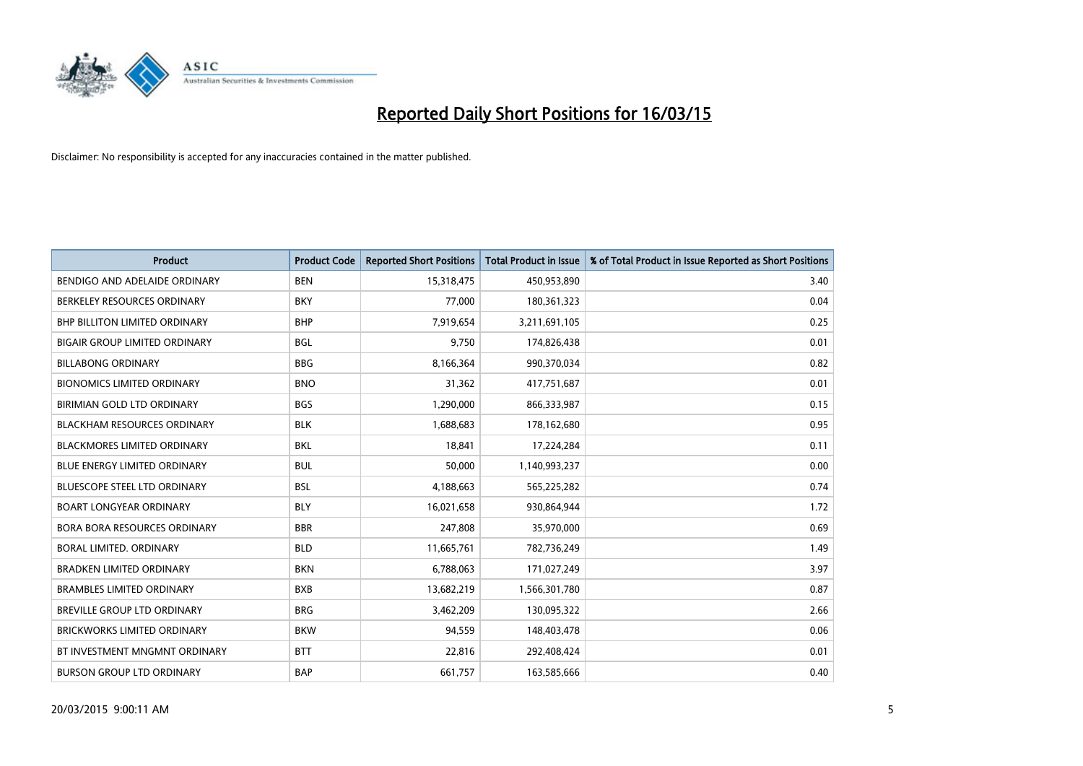

| <b>Product</b>                       | <b>Product Code</b> | <b>Reported Short Positions</b> | <b>Total Product in Issue</b> | % of Total Product in Issue Reported as Short Positions |
|--------------------------------------|---------------------|---------------------------------|-------------------------------|---------------------------------------------------------|
| BENDIGO AND ADELAIDE ORDINARY        | <b>BEN</b>          | 15,318,475                      | 450,953,890                   | 3.40                                                    |
| BERKELEY RESOURCES ORDINARY          | <b>BKY</b>          | 77,000                          | 180,361,323                   | 0.04                                                    |
| <b>BHP BILLITON LIMITED ORDINARY</b> | <b>BHP</b>          | 7,919,654                       | 3,211,691,105                 | 0.25                                                    |
| BIGAIR GROUP LIMITED ORDINARY        | <b>BGL</b>          | 9,750                           | 174,826,438                   | 0.01                                                    |
| <b>BILLABONG ORDINARY</b>            | <b>BBG</b>          | 8,166,364                       | 990,370,034                   | 0.82                                                    |
| <b>BIONOMICS LIMITED ORDINARY</b>    | <b>BNO</b>          | 31,362                          | 417,751,687                   | 0.01                                                    |
| BIRIMIAN GOLD LTD ORDINARY           | <b>BGS</b>          | 1,290,000                       | 866,333,987                   | 0.15                                                    |
| <b>BLACKHAM RESOURCES ORDINARY</b>   | <b>BLK</b>          | 1,688,683                       | 178,162,680                   | 0.95                                                    |
| <b>BLACKMORES LIMITED ORDINARY</b>   | <b>BKL</b>          | 18,841                          | 17,224,284                    | 0.11                                                    |
| <b>BLUE ENERGY LIMITED ORDINARY</b>  | <b>BUL</b>          | 50,000                          | 1,140,993,237                 | 0.00                                                    |
| BLUESCOPE STEEL LTD ORDINARY         | <b>BSL</b>          | 4,188,663                       | 565,225,282                   | 0.74                                                    |
| <b>BOART LONGYEAR ORDINARY</b>       | <b>BLY</b>          | 16,021,658                      | 930,864,944                   | 1.72                                                    |
| <b>BORA BORA RESOURCES ORDINARY</b>  | <b>BBR</b>          | 247,808                         | 35,970,000                    | 0.69                                                    |
| <b>BORAL LIMITED, ORDINARY</b>       | <b>BLD</b>          | 11,665,761                      | 782,736,249                   | 1.49                                                    |
| <b>BRADKEN LIMITED ORDINARY</b>      | <b>BKN</b>          | 6,788,063                       | 171,027,249                   | 3.97                                                    |
| <b>BRAMBLES LIMITED ORDINARY</b>     | <b>BXB</b>          | 13,682,219                      | 1,566,301,780                 | 0.87                                                    |
| BREVILLE GROUP LTD ORDINARY          | <b>BRG</b>          | 3,462,209                       | 130,095,322                   | 2.66                                                    |
| <b>BRICKWORKS LIMITED ORDINARY</b>   | <b>BKW</b>          | 94,559                          | 148,403,478                   | 0.06                                                    |
| BT INVESTMENT MNGMNT ORDINARY        | <b>BTT</b>          | 22,816                          | 292,408,424                   | 0.01                                                    |
| <b>BURSON GROUP LTD ORDINARY</b>     | <b>BAP</b>          | 661,757                         | 163,585,666                   | 0.40                                                    |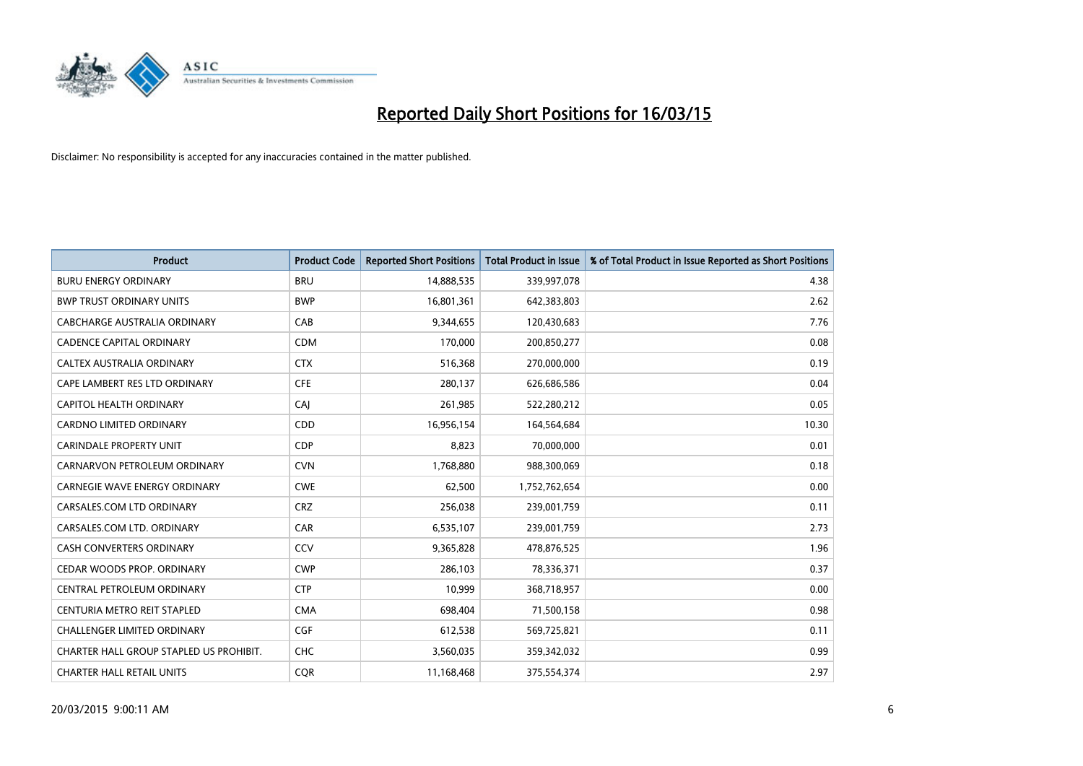

| <b>Product</b>                          | <b>Product Code</b> | <b>Reported Short Positions</b> | <b>Total Product in Issue</b> | % of Total Product in Issue Reported as Short Positions |
|-----------------------------------------|---------------------|---------------------------------|-------------------------------|---------------------------------------------------------|
| <b>BURU ENERGY ORDINARY</b>             | <b>BRU</b>          | 14,888,535                      | 339,997,078                   | 4.38                                                    |
| <b>BWP TRUST ORDINARY UNITS</b>         | <b>BWP</b>          | 16,801,361                      | 642,383,803                   | 2.62                                                    |
| CABCHARGE AUSTRALIA ORDINARY            | CAB                 | 9,344,655                       | 120,430,683                   | 7.76                                                    |
| <b>CADENCE CAPITAL ORDINARY</b>         | <b>CDM</b>          | 170,000                         | 200,850,277                   | 0.08                                                    |
| <b>CALTEX AUSTRALIA ORDINARY</b>        | <b>CTX</b>          | 516,368                         | 270,000,000                   | 0.19                                                    |
| CAPE LAMBERT RES LTD ORDINARY           | <b>CFE</b>          | 280,137                         | 626,686,586                   | 0.04                                                    |
| <b>CAPITOL HEALTH ORDINARY</b>          | CAJ                 | 261,985                         | 522,280,212                   | 0.05                                                    |
| <b>CARDNO LIMITED ORDINARY</b>          | CDD                 | 16,956,154                      | 164,564,684                   | 10.30                                                   |
| <b>CARINDALE PROPERTY UNIT</b>          | <b>CDP</b>          | 8,823                           | 70,000,000                    | 0.01                                                    |
| CARNARVON PETROLEUM ORDINARY            | <b>CVN</b>          | 1,768,880                       | 988,300,069                   | 0.18                                                    |
| <b>CARNEGIE WAVE ENERGY ORDINARY</b>    | <b>CWE</b>          | 62,500                          | 1,752,762,654                 | 0.00                                                    |
| CARSALES.COM LTD ORDINARY               | <b>CRZ</b>          | 256,038                         | 239,001,759                   | 0.11                                                    |
| CARSALES.COM LTD. ORDINARY              | CAR                 | 6,535,107                       | 239,001,759                   | 2.73                                                    |
| <b>CASH CONVERTERS ORDINARY</b>         | CCV                 | 9,365,828                       | 478,876,525                   | 1.96                                                    |
| CEDAR WOODS PROP. ORDINARY              | <b>CWP</b>          | 286,103                         | 78,336,371                    | 0.37                                                    |
| CENTRAL PETROLEUM ORDINARY              | <b>CTP</b>          | 10,999                          | 368,718,957                   | 0.00                                                    |
| CENTURIA METRO REIT STAPLED             | <b>CMA</b>          | 698,404                         | 71,500,158                    | 0.98                                                    |
| <b>CHALLENGER LIMITED ORDINARY</b>      | <b>CGF</b>          | 612,538                         | 569,725,821                   | 0.11                                                    |
| CHARTER HALL GROUP STAPLED US PROHIBIT. | <b>CHC</b>          | 3,560,035                       | 359,342,032                   | 0.99                                                    |
| <b>CHARTER HALL RETAIL UNITS</b>        | <b>COR</b>          | 11,168,468                      | 375,554,374                   | 2.97                                                    |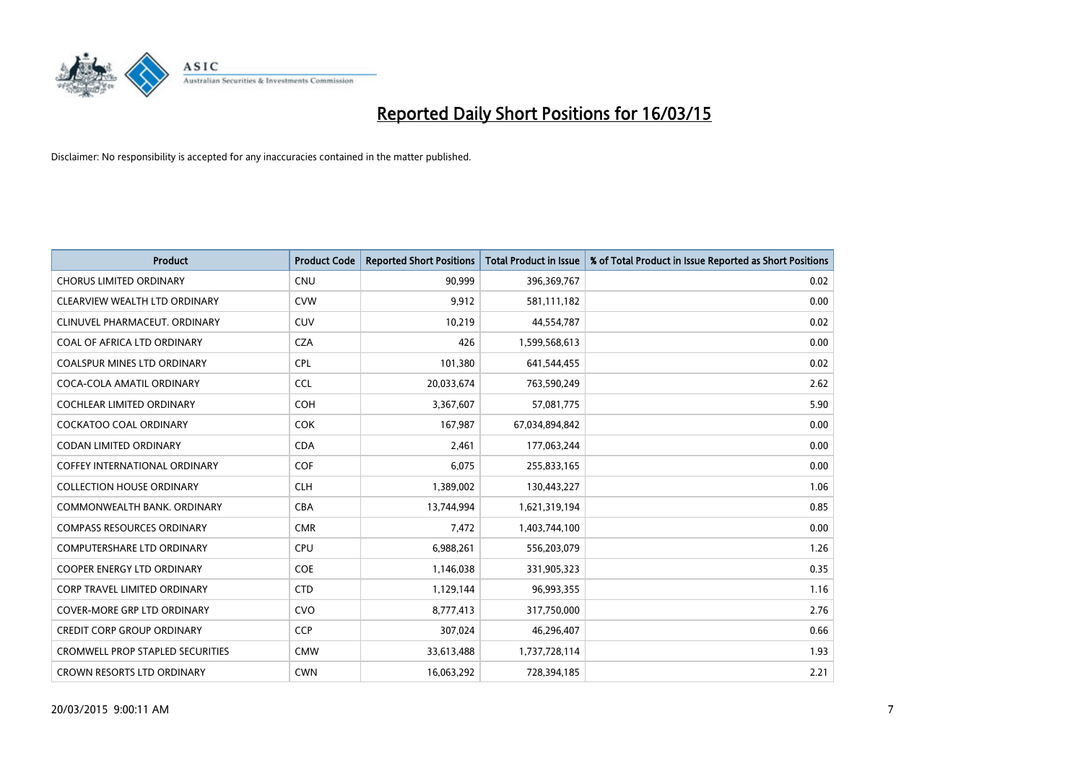

| <b>Product</b>                          | <b>Product Code</b> | <b>Reported Short Positions</b> | <b>Total Product in Issue</b> | % of Total Product in Issue Reported as Short Positions |
|-----------------------------------------|---------------------|---------------------------------|-------------------------------|---------------------------------------------------------|
| <b>CHORUS LIMITED ORDINARY</b>          | <b>CNU</b>          | 90,999                          | 396,369,767                   | 0.02                                                    |
| CLEARVIEW WEALTH LTD ORDINARY           | <b>CVW</b>          | 9,912                           | 581,111,182                   | 0.00                                                    |
| CLINUVEL PHARMACEUT, ORDINARY           | <b>CUV</b>          | 10,219                          | 44,554,787                    | 0.02                                                    |
| COAL OF AFRICA LTD ORDINARY             | <b>CZA</b>          | 426                             | 1,599,568,613                 | 0.00                                                    |
| <b>COALSPUR MINES LTD ORDINARY</b>      | <b>CPL</b>          | 101,380                         | 641,544,455                   | 0.02                                                    |
| COCA-COLA AMATIL ORDINARY               | <b>CCL</b>          | 20,033,674                      | 763,590,249                   | 2.62                                                    |
| <b>COCHLEAR LIMITED ORDINARY</b>        | <b>COH</b>          | 3,367,607                       | 57,081,775                    | 5.90                                                    |
| COCKATOO COAL ORDINARY                  | COK                 | 167,987                         | 67,034,894,842                | 0.00                                                    |
| <b>CODAN LIMITED ORDINARY</b>           | <b>CDA</b>          | 2,461                           | 177,063,244                   | 0.00                                                    |
| <b>COFFEY INTERNATIONAL ORDINARY</b>    | <b>COF</b>          | 6,075                           | 255,833,165                   | 0.00                                                    |
| <b>COLLECTION HOUSE ORDINARY</b>        | <b>CLH</b>          | 1,389,002                       | 130,443,227                   | 1.06                                                    |
| COMMONWEALTH BANK, ORDINARY             | <b>CBA</b>          | 13,744,994                      | 1,621,319,194                 | 0.85                                                    |
| <b>COMPASS RESOURCES ORDINARY</b>       | <b>CMR</b>          | 7,472                           | 1,403,744,100                 | 0.00                                                    |
| <b>COMPUTERSHARE LTD ORDINARY</b>       | <b>CPU</b>          | 6,988,261                       | 556,203,079                   | 1.26                                                    |
| <b>COOPER ENERGY LTD ORDINARY</b>       | <b>COE</b>          | 1,146,038                       | 331,905,323                   | 0.35                                                    |
| <b>CORP TRAVEL LIMITED ORDINARY</b>     | <b>CTD</b>          | 1,129,144                       | 96,993,355                    | 1.16                                                    |
| COVER-MORE GRP LTD ORDINARY             | <b>CVO</b>          | 8,777,413                       | 317,750,000                   | 2.76                                                    |
| <b>CREDIT CORP GROUP ORDINARY</b>       | <b>CCP</b>          | 307,024                         | 46,296,407                    | 0.66                                                    |
| <b>CROMWELL PROP STAPLED SECURITIES</b> | <b>CMW</b>          | 33,613,488                      | 1,737,728,114                 | 1.93                                                    |
| CROWN RESORTS LTD ORDINARY              | <b>CWN</b>          | 16,063,292                      | 728,394,185                   | 2.21                                                    |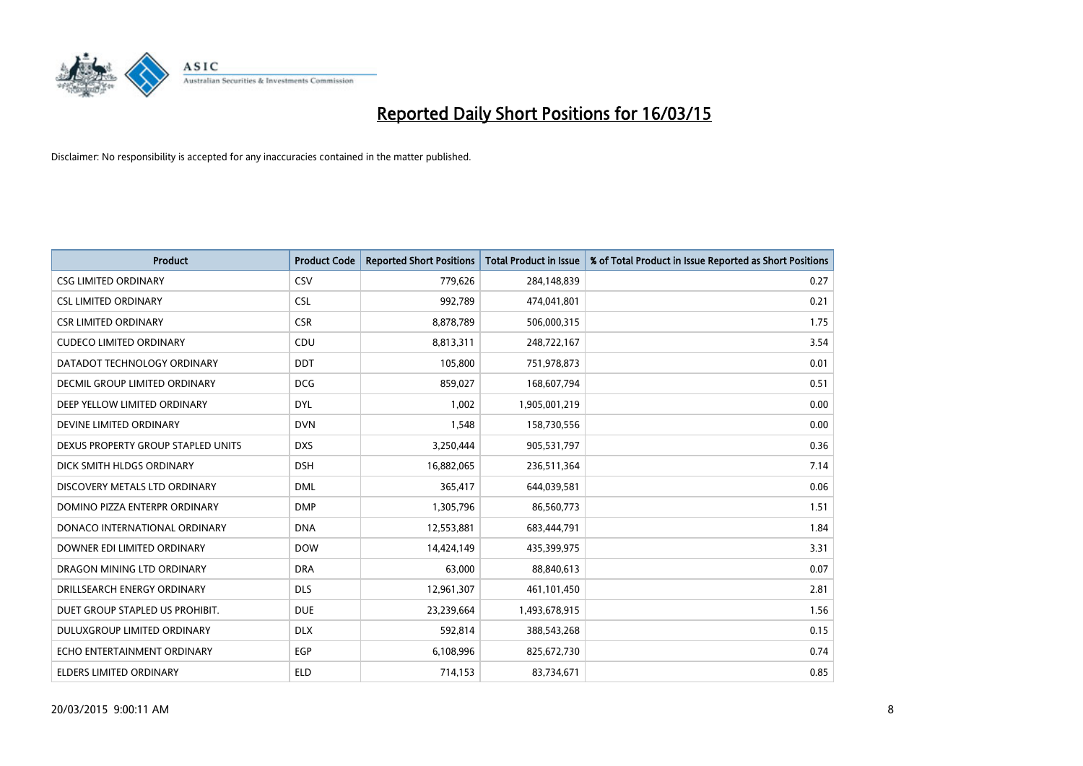

| <b>Product</b>                       | <b>Product Code</b> | <b>Reported Short Positions</b> | <b>Total Product in Issue</b> | % of Total Product in Issue Reported as Short Positions |
|--------------------------------------|---------------------|---------------------------------|-------------------------------|---------------------------------------------------------|
| <b>CSG LIMITED ORDINARY</b>          | CSV                 | 779,626                         | 284,148,839                   | 0.27                                                    |
| <b>CSL LIMITED ORDINARY</b>          | <b>CSL</b>          | 992,789                         | 474,041,801                   | 0.21                                                    |
| <b>CSR LIMITED ORDINARY</b>          | <b>CSR</b>          | 8,878,789                       | 506,000,315                   | 1.75                                                    |
| <b>CUDECO LIMITED ORDINARY</b>       | CDU                 | 8,813,311                       | 248,722,167                   | 3.54                                                    |
| DATADOT TECHNOLOGY ORDINARY          | <b>DDT</b>          | 105,800                         | 751,978,873                   | 0.01                                                    |
| <b>DECMIL GROUP LIMITED ORDINARY</b> | <b>DCG</b>          | 859,027                         | 168,607,794                   | 0.51                                                    |
| DEEP YELLOW LIMITED ORDINARY         | <b>DYL</b>          | 1,002                           | 1,905,001,219                 | 0.00                                                    |
| DEVINE LIMITED ORDINARY              | <b>DVN</b>          | 1,548                           | 158,730,556                   | 0.00                                                    |
| DEXUS PROPERTY GROUP STAPLED UNITS   | <b>DXS</b>          | 3,250,444                       | 905,531,797                   | 0.36                                                    |
| DICK SMITH HLDGS ORDINARY            | <b>DSH</b>          | 16,882,065                      | 236,511,364                   | 7.14                                                    |
| DISCOVERY METALS LTD ORDINARY        | <b>DML</b>          | 365,417                         | 644,039,581                   | 0.06                                                    |
| DOMINO PIZZA ENTERPR ORDINARY        | <b>DMP</b>          | 1,305,796                       | 86,560,773                    | 1.51                                                    |
| DONACO INTERNATIONAL ORDINARY        | <b>DNA</b>          | 12,553,881                      | 683,444,791                   | 1.84                                                    |
| DOWNER EDI LIMITED ORDINARY          | <b>DOW</b>          | 14,424,149                      | 435,399,975                   | 3.31                                                    |
| DRAGON MINING LTD ORDINARY           | <b>DRA</b>          | 63,000                          | 88,840,613                    | 0.07                                                    |
| DRILLSEARCH ENERGY ORDINARY          | <b>DLS</b>          | 12,961,307                      | 461,101,450                   | 2.81                                                    |
| DUET GROUP STAPLED US PROHIBIT.      | <b>DUE</b>          | 23,239,664                      | 1,493,678,915                 | 1.56                                                    |
| DULUXGROUP LIMITED ORDINARY          | <b>DLX</b>          | 592,814                         | 388,543,268                   | 0.15                                                    |
| ECHO ENTERTAINMENT ORDINARY          | <b>EGP</b>          | 6,108,996                       | 825,672,730                   | 0.74                                                    |
| ELDERS LIMITED ORDINARY              | <b>ELD</b>          | 714,153                         | 83,734,671                    | 0.85                                                    |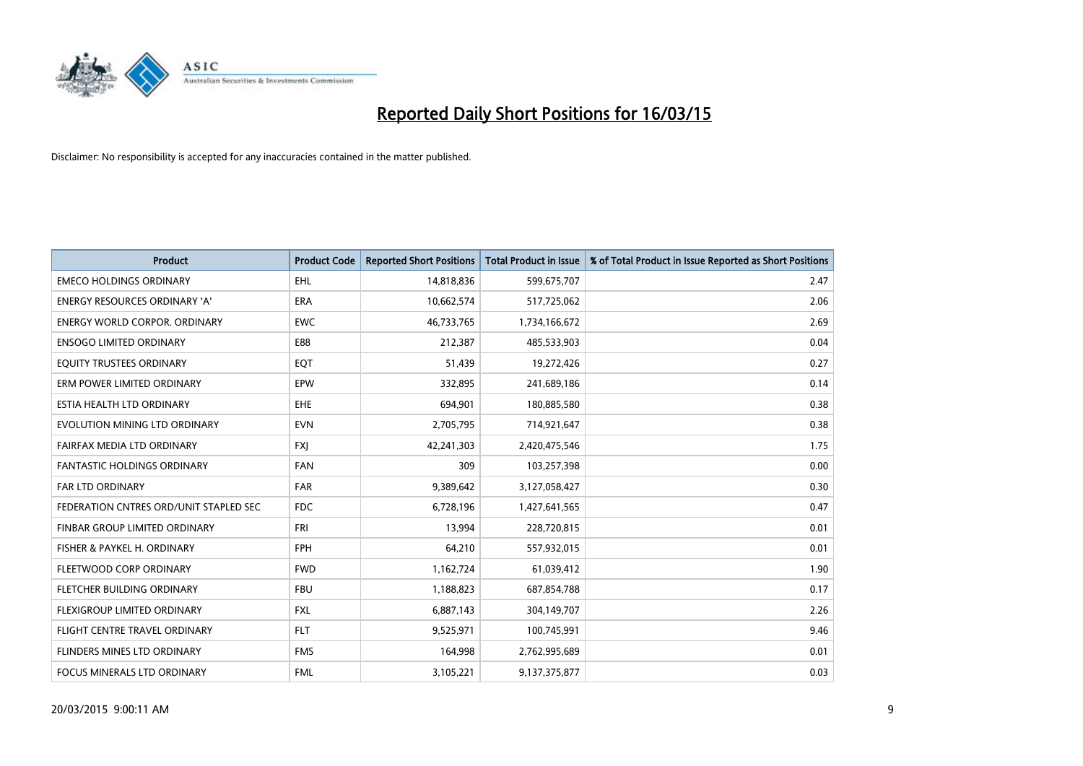

| <b>Product</b>                         | <b>Product Code</b> | <b>Reported Short Positions</b> | <b>Total Product in Issue</b> | % of Total Product in Issue Reported as Short Positions |
|----------------------------------------|---------------------|---------------------------------|-------------------------------|---------------------------------------------------------|
| <b>EMECO HOLDINGS ORDINARY</b>         | <b>EHL</b>          | 14,818,836                      | 599,675,707                   | 2.47                                                    |
| ENERGY RESOURCES ORDINARY 'A'          | ERA                 | 10,662,574                      | 517,725,062                   | 2.06                                                    |
| <b>ENERGY WORLD CORPOR, ORDINARY</b>   | <b>EWC</b>          | 46,733,765                      | 1,734,166,672                 | 2.69                                                    |
| <b>ENSOGO LIMITED ORDINARY</b>         | E88                 | 212,387                         | 485,533,903                   | 0.04                                                    |
| EQUITY TRUSTEES ORDINARY               | EQT                 | 51,439                          | 19,272,426                    | 0.27                                                    |
| ERM POWER LIMITED ORDINARY             | EPW                 | 332,895                         | 241,689,186                   | 0.14                                                    |
| ESTIA HEALTH LTD ORDINARY              | EHE                 | 694,901                         | 180,885,580                   | 0.38                                                    |
| EVOLUTION MINING LTD ORDINARY          | <b>EVN</b>          | 2,705,795                       | 714,921,647                   | 0.38                                                    |
| FAIRFAX MEDIA LTD ORDINARY             | <b>FXI</b>          | 42,241,303                      | 2,420,475,546                 | 1.75                                                    |
| <b>FANTASTIC HOLDINGS ORDINARY</b>     | <b>FAN</b>          | 309                             | 103,257,398                   | 0.00                                                    |
| FAR LTD ORDINARY                       | FAR                 | 9,389,642                       | 3,127,058,427                 | 0.30                                                    |
| FEDERATION CNTRES ORD/UNIT STAPLED SEC | <b>FDC</b>          | 6,728,196                       | 1,427,641,565                 | 0.47                                                    |
| FINBAR GROUP LIMITED ORDINARY          | <b>FRI</b>          | 13,994                          | 228,720,815                   | 0.01                                                    |
| FISHER & PAYKEL H. ORDINARY            | <b>FPH</b>          | 64,210                          | 557,932,015                   | 0.01                                                    |
| FLEETWOOD CORP ORDINARY                | <b>FWD</b>          | 1,162,724                       | 61,039,412                    | 1.90                                                    |
| FLETCHER BUILDING ORDINARY             | <b>FBU</b>          | 1,188,823                       | 687,854,788                   | 0.17                                                    |
| FLEXIGROUP LIMITED ORDINARY            | FXL                 | 6,887,143                       | 304,149,707                   | 2.26                                                    |
| FLIGHT CENTRE TRAVEL ORDINARY          | <b>FLT</b>          | 9,525,971                       | 100,745,991                   | 9.46                                                    |
| FLINDERS MINES LTD ORDINARY            | <b>FMS</b>          | 164,998                         | 2,762,995,689                 | 0.01                                                    |
| FOCUS MINERALS LTD ORDINARY            | <b>FML</b>          | 3,105,221                       | 9,137,375,877                 | 0.03                                                    |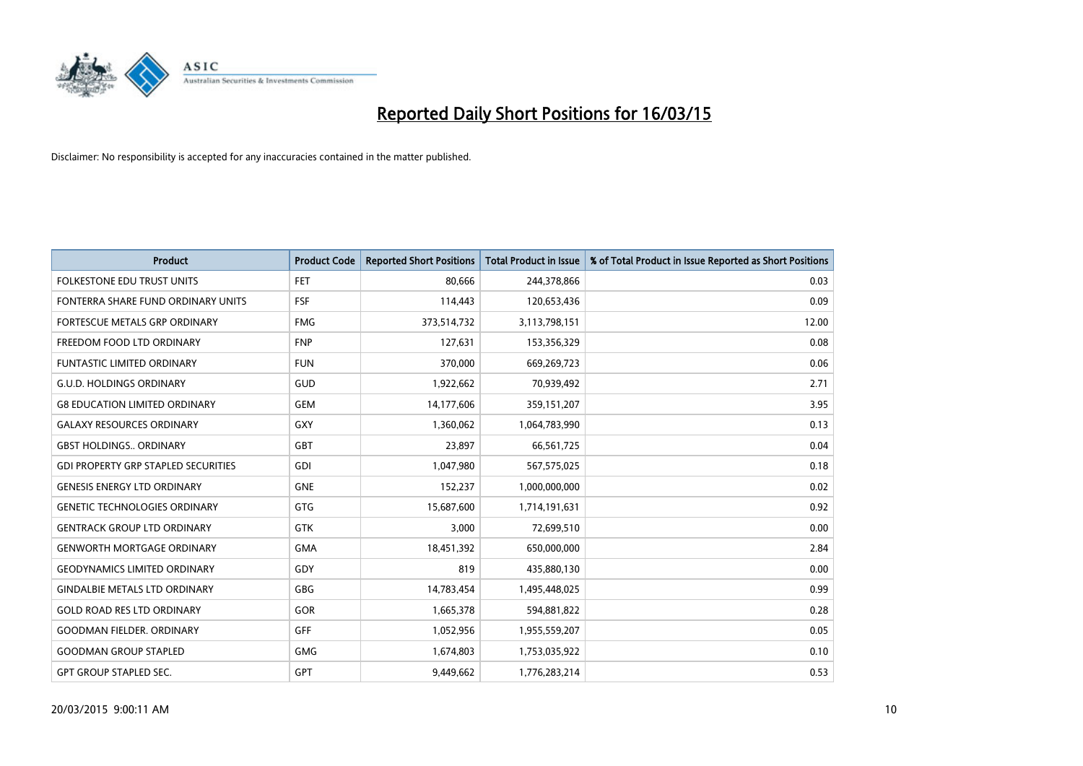

| <b>Product</b>                             | <b>Product Code</b> | <b>Reported Short Positions</b> | <b>Total Product in Issue</b> | % of Total Product in Issue Reported as Short Positions |
|--------------------------------------------|---------------------|---------------------------------|-------------------------------|---------------------------------------------------------|
| <b>FOLKESTONE EDU TRUST UNITS</b>          | <b>FET</b>          | 80,666                          | 244,378,866                   | 0.03                                                    |
| FONTERRA SHARE FUND ORDINARY UNITS         | <b>FSF</b>          | 114,443                         | 120,653,436                   | 0.09                                                    |
| <b>FORTESCUE METALS GRP ORDINARY</b>       | <b>FMG</b>          | 373,514,732                     | 3,113,798,151                 | 12.00                                                   |
| FREEDOM FOOD LTD ORDINARY                  | <b>FNP</b>          | 127,631                         | 153,356,329                   | 0.08                                                    |
| <b>FUNTASTIC LIMITED ORDINARY</b>          | <b>FUN</b>          | 370,000                         | 669,269,723                   | 0.06                                                    |
| <b>G.U.D. HOLDINGS ORDINARY</b>            | GUD                 | 1,922,662                       | 70,939,492                    | 2.71                                                    |
| <b>G8 EDUCATION LIMITED ORDINARY</b>       | <b>GEM</b>          | 14,177,606                      | 359,151,207                   | 3.95                                                    |
| <b>GALAXY RESOURCES ORDINARY</b>           | GXY                 | 1,360,062                       | 1,064,783,990                 | 0.13                                                    |
| <b>GBST HOLDINGS., ORDINARY</b>            | GBT                 | 23,897                          | 66,561,725                    | 0.04                                                    |
| <b>GDI PROPERTY GRP STAPLED SECURITIES</b> | GDI                 | 1,047,980                       | 567,575,025                   | 0.18                                                    |
| <b>GENESIS ENERGY LTD ORDINARY</b>         | <b>GNE</b>          | 152,237                         | 1,000,000,000                 | 0.02                                                    |
| <b>GENETIC TECHNOLOGIES ORDINARY</b>       | GTG                 | 15,687,600                      | 1,714,191,631                 | 0.92                                                    |
| <b>GENTRACK GROUP LTD ORDINARY</b>         | <b>GTK</b>          | 3,000                           | 72,699,510                    | 0.00                                                    |
| <b>GENWORTH MORTGAGE ORDINARY</b>          | <b>GMA</b>          | 18,451,392                      | 650,000,000                   | 2.84                                                    |
| <b>GEODYNAMICS LIMITED ORDINARY</b>        | GDY                 | 819                             | 435,880,130                   | 0.00                                                    |
| <b>GINDALBIE METALS LTD ORDINARY</b>       | GBG                 | 14,783,454                      | 1,495,448,025                 | 0.99                                                    |
| <b>GOLD ROAD RES LTD ORDINARY</b>          | GOR                 | 1,665,378                       | 594,881,822                   | 0.28                                                    |
| <b>GOODMAN FIELDER, ORDINARY</b>           | <b>GFF</b>          | 1,052,956                       | 1,955,559,207                 | 0.05                                                    |
| <b>GOODMAN GROUP STAPLED</b>               | <b>GMG</b>          | 1,674,803                       | 1,753,035,922                 | 0.10                                                    |
| <b>GPT GROUP STAPLED SEC.</b>              | <b>GPT</b>          | 9,449,662                       | 1,776,283,214                 | 0.53                                                    |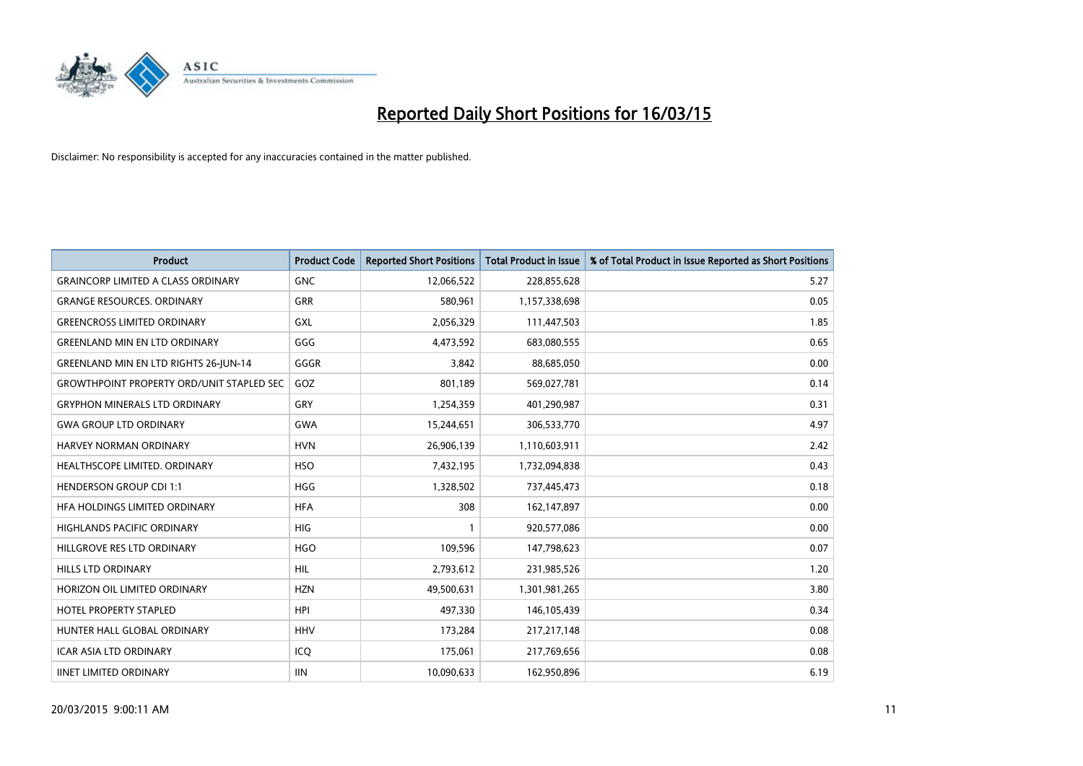

| <b>Product</b>                                   | <b>Product Code</b> | <b>Reported Short Positions</b> | <b>Total Product in Issue</b> | % of Total Product in Issue Reported as Short Positions |
|--------------------------------------------------|---------------------|---------------------------------|-------------------------------|---------------------------------------------------------|
| <b>GRAINCORP LIMITED A CLASS ORDINARY</b>        | <b>GNC</b>          | 12,066,522                      | 228,855,628                   | 5.27                                                    |
| <b>GRANGE RESOURCES. ORDINARY</b>                | GRR                 | 580,961                         | 1,157,338,698                 | 0.05                                                    |
| <b>GREENCROSS LIMITED ORDINARY</b>               | <b>GXL</b>          | 2,056,329                       | 111,447,503                   | 1.85                                                    |
| <b>GREENLAND MIN EN LTD ORDINARY</b>             | GGG                 | 4,473,592                       | 683,080,555                   | 0.65                                                    |
| <b>GREENLAND MIN EN LTD RIGHTS 26-JUN-14</b>     | GGGR                | 3,842                           | 88,685,050                    | 0.00                                                    |
| <b>GROWTHPOINT PROPERTY ORD/UNIT STAPLED SEC</b> | GOZ                 | 801,189                         | 569,027,781                   | 0.14                                                    |
| <b>GRYPHON MINERALS LTD ORDINARY</b>             | GRY                 | 1,254,359                       | 401,290,987                   | 0.31                                                    |
| <b>GWA GROUP LTD ORDINARY</b>                    | <b>GWA</b>          | 15,244,651                      | 306,533,770                   | 4.97                                                    |
| HARVEY NORMAN ORDINARY                           | <b>HVN</b>          | 26,906,139                      | 1,110,603,911                 | 2.42                                                    |
| HEALTHSCOPE LIMITED. ORDINARY                    | <b>HSO</b>          | 7,432,195                       | 1,732,094,838                 | 0.43                                                    |
| <b>HENDERSON GROUP CDI 1:1</b>                   | <b>HGG</b>          | 1,328,502                       | 737,445,473                   | 0.18                                                    |
| HEA HOLDINGS LIMITED ORDINARY                    | <b>HFA</b>          | 308                             | 162,147,897                   | 0.00                                                    |
| HIGHLANDS PACIFIC ORDINARY                       | <b>HIG</b>          | 1                               | 920,577,086                   | 0.00                                                    |
| HILLGROVE RES LTD ORDINARY                       | <b>HGO</b>          | 109,596                         | 147,798,623                   | 0.07                                                    |
| <b>HILLS LTD ORDINARY</b>                        | <b>HIL</b>          | 2,793,612                       | 231,985,526                   | 1.20                                                    |
| HORIZON OIL LIMITED ORDINARY                     | <b>HZN</b>          | 49,500,631                      | 1,301,981,265                 | 3.80                                                    |
| <b>HOTEL PROPERTY STAPLED</b>                    | <b>HPI</b>          | 497,330                         | 146,105,439                   | 0.34                                                    |
| HUNTER HALL GLOBAL ORDINARY                      | <b>HHV</b>          | 173,284                         | 217, 217, 148                 | 0.08                                                    |
| <b>ICAR ASIA LTD ORDINARY</b>                    | ICQ                 | 175,061                         | 217,769,656                   | 0.08                                                    |
| <b>IINET LIMITED ORDINARY</b>                    | <b>IIN</b>          | 10,090,633                      | 162,950,896                   | 6.19                                                    |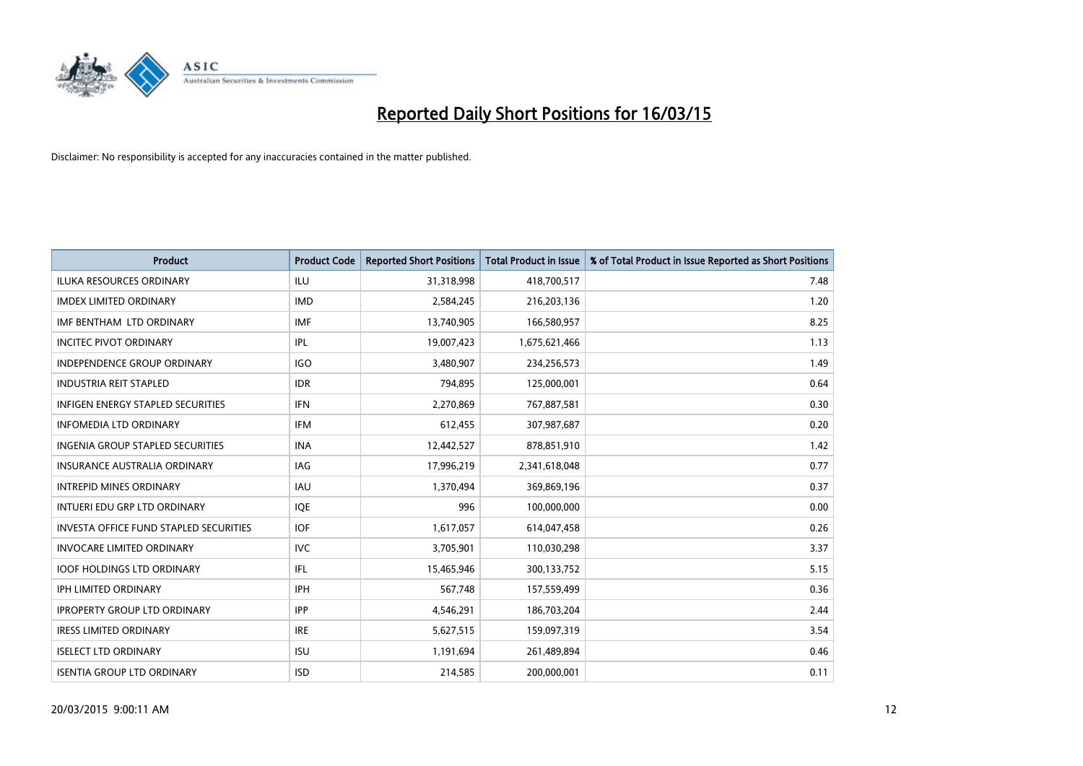

| <b>Product</b>                                | <b>Product Code</b> | <b>Reported Short Positions</b> | <b>Total Product in Issue</b> | % of Total Product in Issue Reported as Short Positions |
|-----------------------------------------------|---------------------|---------------------------------|-------------------------------|---------------------------------------------------------|
| <b>ILUKA RESOURCES ORDINARY</b>               | <b>ILU</b>          | 31,318,998                      | 418,700,517                   | 7.48                                                    |
| <b>IMDEX LIMITED ORDINARY</b>                 | <b>IMD</b>          | 2,584,245                       | 216,203,136                   | 1.20                                                    |
| IMF BENTHAM LTD ORDINARY                      | <b>IMF</b>          | 13,740,905                      | 166,580,957                   | 8.25                                                    |
| <b>INCITEC PIVOT ORDINARY</b>                 | IPL                 | 19,007,423                      | 1,675,621,466                 | 1.13                                                    |
| <b>INDEPENDENCE GROUP ORDINARY</b>            | <b>IGO</b>          | 3,480,907                       | 234,256,573                   | 1.49                                                    |
| <b>INDUSTRIA REIT STAPLED</b>                 | <b>IDR</b>          | 794,895                         | 125,000,001                   | 0.64                                                    |
| <b>INFIGEN ENERGY STAPLED SECURITIES</b>      | <b>IFN</b>          | 2,270,869                       | 767,887,581                   | 0.30                                                    |
| <b>INFOMEDIA LTD ORDINARY</b>                 | <b>IFM</b>          | 612,455                         | 307,987,687                   | 0.20                                                    |
| INGENIA GROUP STAPLED SECURITIES              | <b>INA</b>          | 12,442,527                      | 878,851,910                   | 1.42                                                    |
| INSURANCE AUSTRALIA ORDINARY                  | IAG                 | 17,996,219                      | 2,341,618,048                 | 0.77                                                    |
| <b>INTREPID MINES ORDINARY</b>                | <b>IAU</b>          | 1,370,494                       | 369,869,196                   | 0.37                                                    |
| INTUERI EDU GRP LTD ORDINARY                  | <b>IQE</b>          | 996                             | 100,000,000                   | 0.00                                                    |
| <b>INVESTA OFFICE FUND STAPLED SECURITIES</b> | <b>IOF</b>          | 1,617,057                       | 614,047,458                   | 0.26                                                    |
| <b>INVOCARE LIMITED ORDINARY</b>              | <b>IVC</b>          | 3,705,901                       | 110,030,298                   | 3.37                                                    |
| <b>IOOF HOLDINGS LTD ORDINARY</b>             | IFL                 | 15,465,946                      | 300,133,752                   | 5.15                                                    |
| IPH LIMITED ORDINARY                          | IPH                 | 567,748                         | 157,559,499                   | 0.36                                                    |
| <b>IPROPERTY GROUP LTD ORDINARY</b>           | <b>IPP</b>          | 4,546,291                       | 186,703,204                   | 2.44                                                    |
| <b>IRESS LIMITED ORDINARY</b>                 | <b>IRE</b>          | 5,627,515                       | 159,097,319                   | 3.54                                                    |
| <b>ISELECT LTD ORDINARY</b>                   | <b>ISU</b>          | 1,191,694                       | 261,489,894                   | 0.46                                                    |
| <b>ISENTIA GROUP LTD ORDINARY</b>             | <b>ISD</b>          | 214,585                         | 200,000,001                   | 0.11                                                    |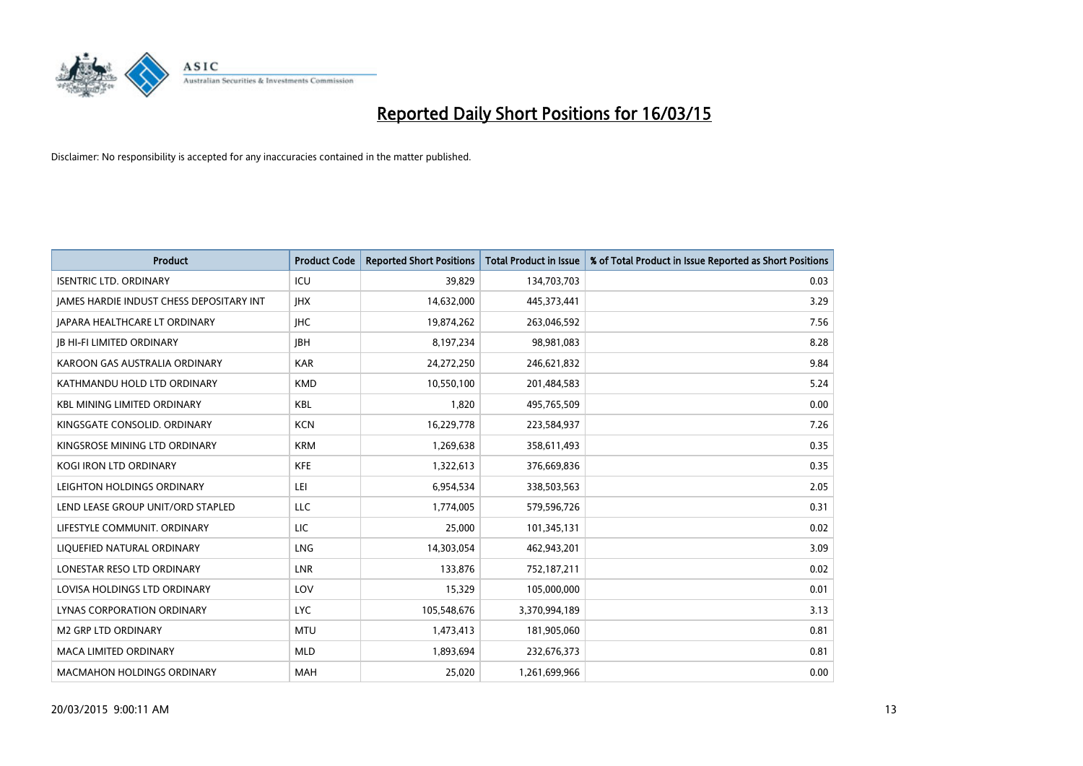

| <b>Product</b>                           | <b>Product Code</b> | <b>Reported Short Positions</b> | <b>Total Product in Issue</b> | % of Total Product in Issue Reported as Short Positions |
|------------------------------------------|---------------------|---------------------------------|-------------------------------|---------------------------------------------------------|
| <b>ISENTRIC LTD. ORDINARY</b>            | ICU                 | 39,829                          | 134,703,703                   | 0.03                                                    |
| JAMES HARDIE INDUST CHESS DEPOSITARY INT | <b>IHX</b>          | 14,632,000                      | 445,373,441                   | 3.29                                                    |
| JAPARA HEALTHCARE LT ORDINARY            | <b>IHC</b>          | 19,874,262                      | 263,046,592                   | 7.56                                                    |
| <b>JB HI-FI LIMITED ORDINARY</b>         | <b>IBH</b>          | 8,197,234                       | 98,981,083                    | 8.28                                                    |
| KAROON GAS AUSTRALIA ORDINARY            | <b>KAR</b>          | 24,272,250                      | 246,621,832                   | 9.84                                                    |
| KATHMANDU HOLD LTD ORDINARY              | <b>KMD</b>          | 10,550,100                      | 201,484,583                   | 5.24                                                    |
| <b>KBL MINING LIMITED ORDINARY</b>       | <b>KBL</b>          | 1,820                           | 495,765,509                   | 0.00                                                    |
| KINGSGATE CONSOLID. ORDINARY             | <b>KCN</b>          | 16,229,778                      | 223,584,937                   | 7.26                                                    |
| KINGSROSE MINING LTD ORDINARY            | <b>KRM</b>          | 1,269,638                       | 358,611,493                   | 0.35                                                    |
| <b>KOGI IRON LTD ORDINARY</b>            | <b>KFE</b>          | 1,322,613                       | 376,669,836                   | 0.35                                                    |
| LEIGHTON HOLDINGS ORDINARY               | LEI                 | 6,954,534                       | 338,503,563                   | 2.05                                                    |
| LEND LEASE GROUP UNIT/ORD STAPLED        | LLC                 | 1,774,005                       | 579,596,726                   | 0.31                                                    |
| LIFESTYLE COMMUNIT, ORDINARY             | LIC                 | 25,000                          | 101,345,131                   | 0.02                                                    |
| LIQUEFIED NATURAL ORDINARY               | LNG                 | 14,303,054                      | 462,943,201                   | 3.09                                                    |
| LONESTAR RESO LTD ORDINARY               | LNR                 | 133,876                         | 752,187,211                   | 0.02                                                    |
| LOVISA HOLDINGS LTD ORDINARY             | LOV                 | 15,329                          | 105,000,000                   | 0.01                                                    |
| LYNAS CORPORATION ORDINARY               | <b>LYC</b>          | 105,548,676                     | 3,370,994,189                 | 3.13                                                    |
| <b>M2 GRP LTD ORDINARY</b>               | <b>MTU</b>          | 1,473,413                       | 181,905,060                   | 0.81                                                    |
| <b>MACA LIMITED ORDINARY</b>             | <b>MLD</b>          | 1,893,694                       | 232,676,373                   | 0.81                                                    |
| <b>MACMAHON HOLDINGS ORDINARY</b>        | <b>MAH</b>          | 25.020                          | 1,261,699,966                 | 0.00                                                    |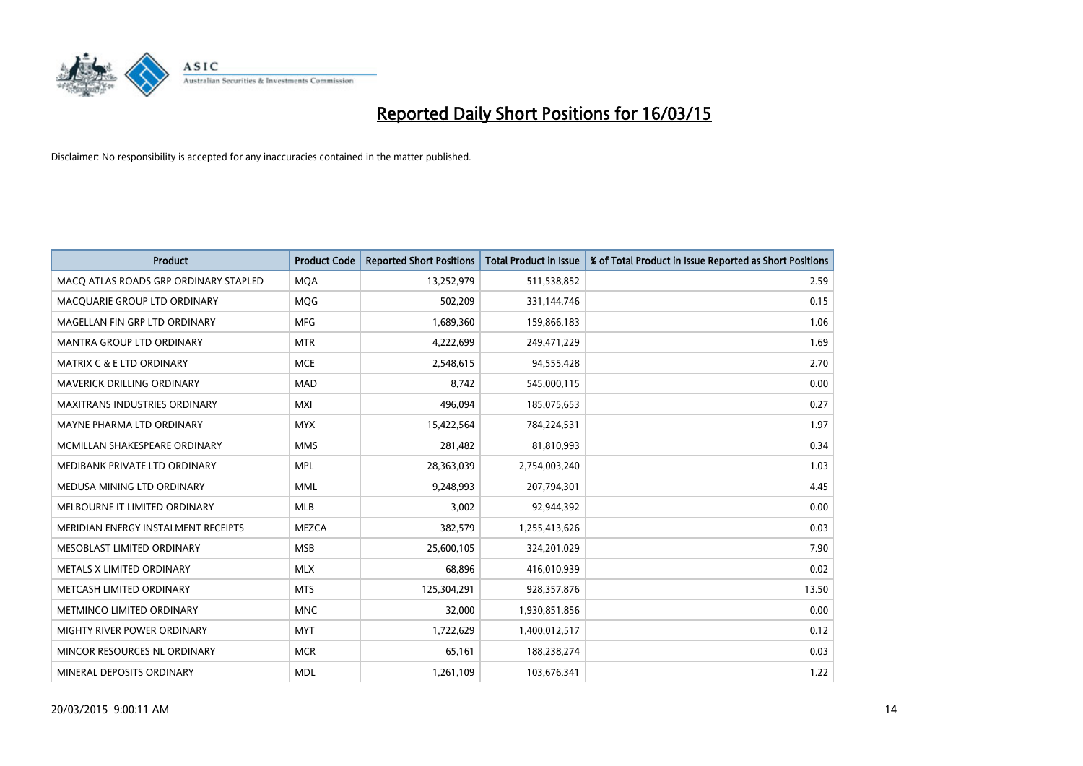

| <b>Product</b>                        | <b>Product Code</b> | <b>Reported Short Positions</b> | <b>Total Product in Issue</b> | % of Total Product in Issue Reported as Short Positions |
|---------------------------------------|---------------------|---------------------------------|-------------------------------|---------------------------------------------------------|
| MACO ATLAS ROADS GRP ORDINARY STAPLED | <b>MQA</b>          | 13,252,979                      | 511,538,852                   | 2.59                                                    |
| MACQUARIE GROUP LTD ORDINARY          | MQG                 | 502,209                         | 331,144,746                   | 0.15                                                    |
| MAGELLAN FIN GRP LTD ORDINARY         | <b>MFG</b>          | 1,689,360                       | 159,866,183                   | 1.06                                                    |
| <b>MANTRA GROUP LTD ORDINARY</b>      | <b>MTR</b>          | 4,222,699                       | 249,471,229                   | 1.69                                                    |
| <b>MATRIX C &amp; E LTD ORDINARY</b>  | <b>MCE</b>          | 2,548,615                       | 94,555,428                    | 2.70                                                    |
| MAVERICK DRILLING ORDINARY            | <b>MAD</b>          | 8,742                           | 545,000,115                   | 0.00                                                    |
| <b>MAXITRANS INDUSTRIES ORDINARY</b>  | <b>MXI</b>          | 496.094                         | 185,075,653                   | 0.27                                                    |
| MAYNE PHARMA LTD ORDINARY             | <b>MYX</b>          | 15,422,564                      | 784,224,531                   | 1.97                                                    |
| MCMILLAN SHAKESPEARE ORDINARY         | <b>MMS</b>          | 281,482                         | 81,810,993                    | 0.34                                                    |
| MEDIBANK PRIVATE LTD ORDINARY         | <b>MPL</b>          | 28,363,039                      | 2,754,003,240                 | 1.03                                                    |
| MEDUSA MINING LTD ORDINARY            | <b>MML</b>          | 9,248,993                       | 207,794,301                   | 4.45                                                    |
| MELBOURNE IT LIMITED ORDINARY         | <b>MLB</b>          | 3,002                           | 92,944,392                    | 0.00                                                    |
| MERIDIAN ENERGY INSTALMENT RECEIPTS   | <b>MEZCA</b>        | 382,579                         | 1,255,413,626                 | 0.03                                                    |
| MESOBLAST LIMITED ORDINARY            | <b>MSB</b>          | 25,600,105                      | 324,201,029                   | 7.90                                                    |
| METALS X LIMITED ORDINARY             | <b>MLX</b>          | 68,896                          | 416,010,939                   | 0.02                                                    |
| METCASH LIMITED ORDINARY              | <b>MTS</b>          | 125,304,291                     | 928,357,876                   | 13.50                                                   |
| METMINCO LIMITED ORDINARY             | <b>MNC</b>          | 32,000                          | 1,930,851,856                 | 0.00                                                    |
| MIGHTY RIVER POWER ORDINARY           | <b>MYT</b>          | 1,722,629                       | 1,400,012,517                 | 0.12                                                    |
| MINCOR RESOURCES NL ORDINARY          | <b>MCR</b>          | 65,161                          | 188,238,274                   | 0.03                                                    |
| MINERAL DEPOSITS ORDINARY             | <b>MDL</b>          | 1,261,109                       | 103,676,341                   | 1.22                                                    |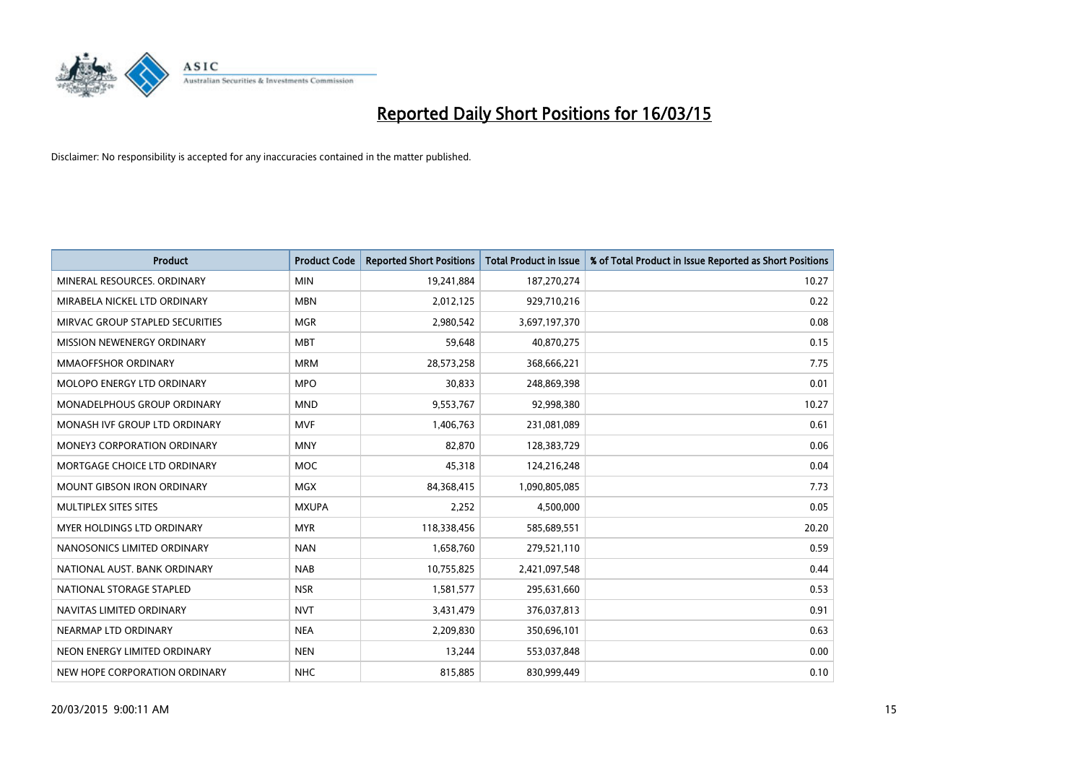

| <b>Product</b>                     | <b>Product Code</b> | <b>Reported Short Positions</b> | <b>Total Product in Issue</b> | % of Total Product in Issue Reported as Short Positions |
|------------------------------------|---------------------|---------------------------------|-------------------------------|---------------------------------------------------------|
| MINERAL RESOURCES, ORDINARY        | <b>MIN</b>          | 19,241,884                      | 187,270,274                   | 10.27                                                   |
| MIRABELA NICKEL LTD ORDINARY       | <b>MBN</b>          | 2,012,125                       | 929,710,216                   | 0.22                                                    |
| MIRVAC GROUP STAPLED SECURITIES    | <b>MGR</b>          | 2,980,542                       | 3,697,197,370                 | 0.08                                                    |
| MISSION NEWENERGY ORDINARY         | <b>MBT</b>          | 59,648                          | 40,870,275                    | 0.15                                                    |
| MMAOFFSHOR ORDINARY                | <b>MRM</b>          | 28,573,258                      | 368,666,221                   | 7.75                                                    |
| MOLOPO ENERGY LTD ORDINARY         | <b>MPO</b>          | 30,833                          | 248,869,398                   | 0.01                                                    |
| MONADELPHOUS GROUP ORDINARY        | <b>MND</b>          | 9,553,767                       | 92,998,380                    | 10.27                                                   |
| MONASH IVF GROUP LTD ORDINARY      | <b>MVF</b>          | 1,406,763                       | 231,081,089                   | 0.61                                                    |
| <b>MONEY3 CORPORATION ORDINARY</b> | <b>MNY</b>          | 82,870                          | 128,383,729                   | 0.06                                                    |
| MORTGAGE CHOICE LTD ORDINARY       | <b>MOC</b>          | 45,318                          | 124,216,248                   | 0.04                                                    |
| <b>MOUNT GIBSON IRON ORDINARY</b>  | <b>MGX</b>          | 84,368,415                      | 1,090,805,085                 | 7.73                                                    |
| <b>MULTIPLEX SITES SITES</b>       | <b>MXUPA</b>        | 2,252                           | 4,500,000                     | 0.05                                                    |
| MYER HOLDINGS LTD ORDINARY         | <b>MYR</b>          | 118,338,456                     | 585,689,551                   | 20.20                                                   |
| NANOSONICS LIMITED ORDINARY        | <b>NAN</b>          | 1,658,760                       | 279,521,110                   | 0.59                                                    |
| NATIONAL AUST. BANK ORDINARY       | <b>NAB</b>          | 10,755,825                      | 2,421,097,548                 | 0.44                                                    |
| NATIONAL STORAGE STAPLED           | <b>NSR</b>          | 1,581,577                       | 295,631,660                   | 0.53                                                    |
| NAVITAS LIMITED ORDINARY           | <b>NVT</b>          | 3,431,479                       | 376,037,813                   | 0.91                                                    |
| NEARMAP LTD ORDINARY               | <b>NEA</b>          | 2,209,830                       | 350,696,101                   | 0.63                                                    |
| NEON ENERGY LIMITED ORDINARY       | <b>NEN</b>          | 13,244                          | 553,037,848                   | 0.00                                                    |
| NEW HOPE CORPORATION ORDINARY      | <b>NHC</b>          | 815,885                         | 830,999,449                   | 0.10                                                    |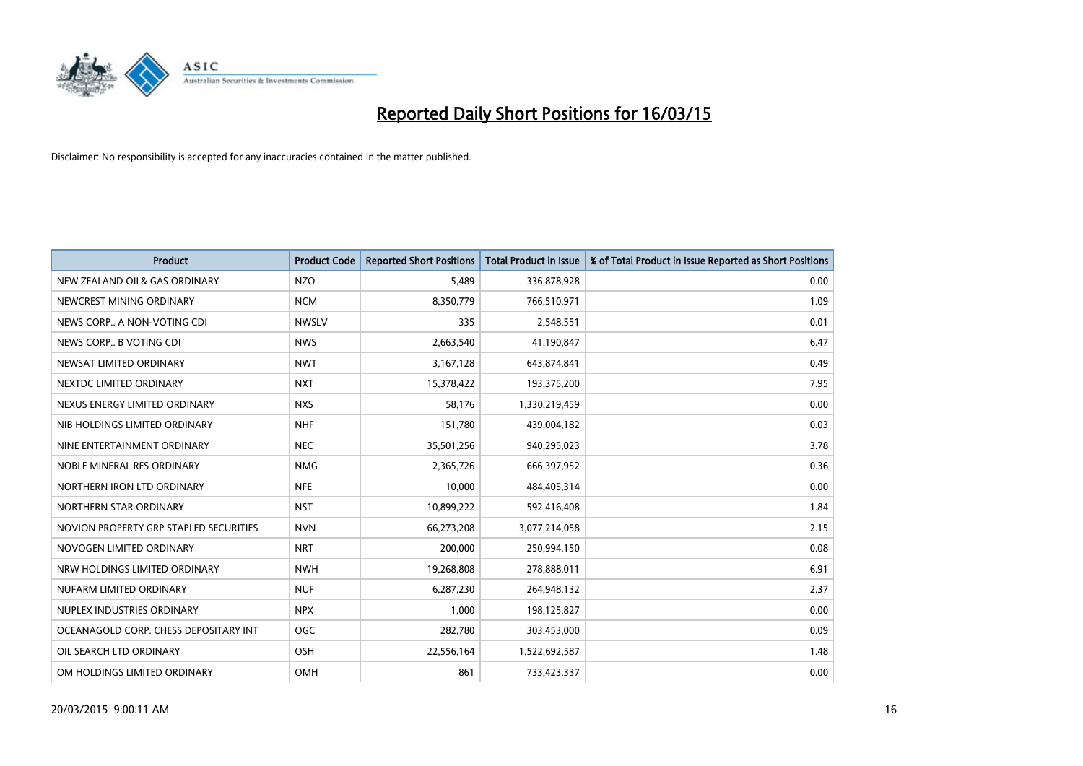

| <b>Product</b>                         | <b>Product Code</b> | <b>Reported Short Positions</b> | <b>Total Product in Issue</b> | % of Total Product in Issue Reported as Short Positions |
|----------------------------------------|---------------------|---------------------------------|-------------------------------|---------------------------------------------------------|
| NEW ZEALAND OIL& GAS ORDINARY          | <b>NZO</b>          | 5,489                           | 336,878,928                   | 0.00                                                    |
| NEWCREST MINING ORDINARY               | <b>NCM</b>          | 8,350,779                       | 766,510,971                   | 1.09                                                    |
| NEWS CORP A NON-VOTING CDI             | <b>NWSLV</b>        | 335                             | 2,548,551                     | 0.01                                                    |
| NEWS CORP B VOTING CDI                 | <b>NWS</b>          | 2,663,540                       | 41,190,847                    | 6.47                                                    |
| NEWSAT LIMITED ORDINARY                | <b>NWT</b>          | 3,167,128                       | 643,874,841                   | 0.49                                                    |
| NEXTDC LIMITED ORDINARY                | <b>NXT</b>          | 15,378,422                      | 193,375,200                   | 7.95                                                    |
| NEXUS ENERGY LIMITED ORDINARY          | <b>NXS</b>          | 58,176                          | 1,330,219,459                 | 0.00                                                    |
| NIB HOLDINGS LIMITED ORDINARY          | <b>NHF</b>          | 151,780                         | 439,004,182                   | 0.03                                                    |
| NINE ENTERTAINMENT ORDINARY            | <b>NEC</b>          | 35,501,256                      | 940,295,023                   | 3.78                                                    |
| NOBLE MINERAL RES ORDINARY             | <b>NMG</b>          | 2,365,726                       | 666,397,952                   | 0.36                                                    |
| NORTHERN IRON LTD ORDINARY             | <b>NFE</b>          | 10,000                          | 484,405,314                   | 0.00                                                    |
| NORTHERN STAR ORDINARY                 | <b>NST</b>          | 10,899,222                      | 592,416,408                   | 1.84                                                    |
| NOVION PROPERTY GRP STAPLED SECURITIES | <b>NVN</b>          | 66,273,208                      | 3,077,214,058                 | 2.15                                                    |
| NOVOGEN LIMITED ORDINARY               | <b>NRT</b>          | 200,000                         | 250,994,150                   | 0.08                                                    |
| NRW HOLDINGS LIMITED ORDINARY          | <b>NWH</b>          | 19,268,808                      | 278,888,011                   | 6.91                                                    |
| NUFARM LIMITED ORDINARY                | <b>NUF</b>          | 6,287,230                       | 264,948,132                   | 2.37                                                    |
| NUPLEX INDUSTRIES ORDINARY             | <b>NPX</b>          | 1,000                           | 198,125,827                   | 0.00                                                    |
| OCEANAGOLD CORP. CHESS DEPOSITARY INT  | <b>OGC</b>          | 282,780                         | 303,453,000                   | 0.09                                                    |
| OIL SEARCH LTD ORDINARY                | OSH                 | 22,556,164                      | 1,522,692,587                 | 1.48                                                    |
| OM HOLDINGS LIMITED ORDINARY           | OMH                 | 861                             | 733,423,337                   | 0.00                                                    |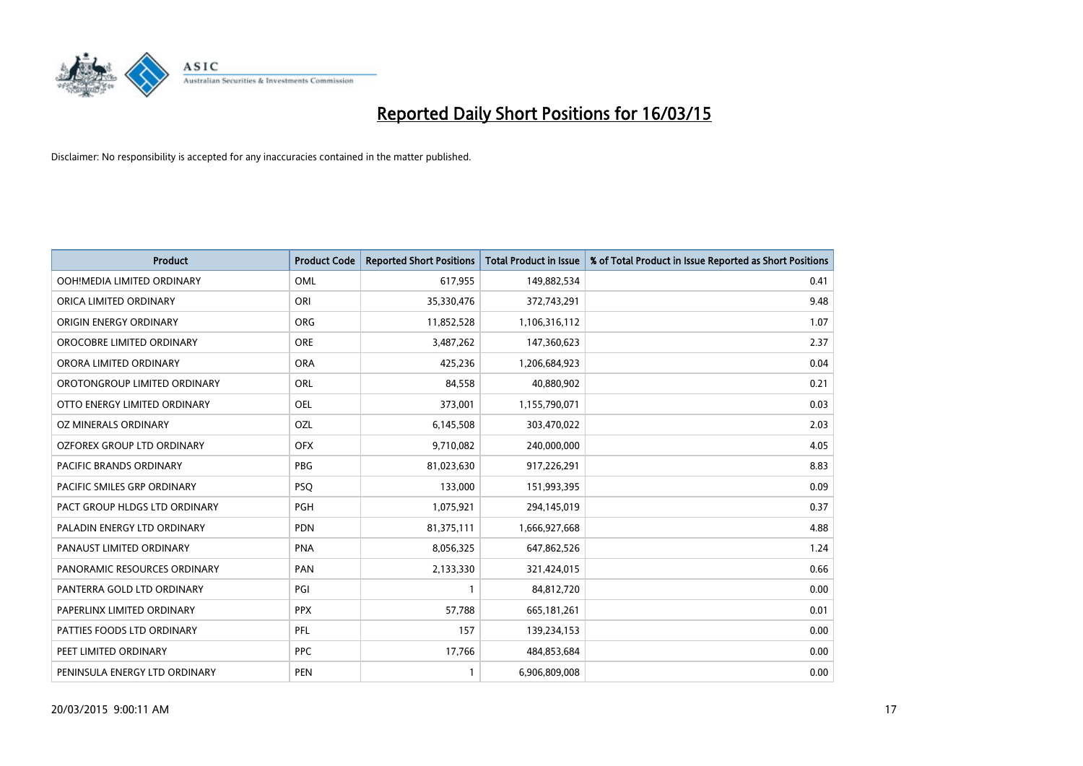

| <b>Product</b>                 | <b>Product Code</b> | <b>Reported Short Positions</b> | <b>Total Product in Issue</b> | % of Total Product in Issue Reported as Short Positions |
|--------------------------------|---------------------|---------------------------------|-------------------------------|---------------------------------------------------------|
| OOH!MEDIA LIMITED ORDINARY     | OML                 | 617,955                         | 149,882,534                   | 0.41                                                    |
| ORICA LIMITED ORDINARY         | ORI                 | 35,330,476                      | 372,743,291                   | 9.48                                                    |
| ORIGIN ENERGY ORDINARY         | <b>ORG</b>          | 11,852,528                      | 1,106,316,112                 | 1.07                                                    |
| OROCOBRE LIMITED ORDINARY      | <b>ORE</b>          | 3,487,262                       | 147,360,623                   | 2.37                                                    |
| ORORA LIMITED ORDINARY         | <b>ORA</b>          | 425,236                         | 1,206,684,923                 | 0.04                                                    |
| OROTONGROUP LIMITED ORDINARY   | ORL                 | 84,558                          | 40,880,902                    | 0.21                                                    |
| OTTO ENERGY LIMITED ORDINARY   | <b>OEL</b>          | 373,001                         | 1,155,790,071                 | 0.03                                                    |
| OZ MINERALS ORDINARY           | OZL                 | 6,145,508                       | 303,470,022                   | 2.03                                                    |
| OZFOREX GROUP LTD ORDINARY     | <b>OFX</b>          | 9,710,082                       | 240,000,000                   | 4.05                                                    |
| <b>PACIFIC BRANDS ORDINARY</b> | <b>PBG</b>          | 81,023,630                      | 917,226,291                   | 8.83                                                    |
| PACIFIC SMILES GRP ORDINARY    | <b>PSQ</b>          | 133,000                         | 151,993,395                   | 0.09                                                    |
| PACT GROUP HLDGS LTD ORDINARY  | <b>PGH</b>          | 1,075,921                       | 294,145,019                   | 0.37                                                    |
| PALADIN ENERGY LTD ORDINARY    | <b>PDN</b>          | 81,375,111                      | 1,666,927,668                 | 4.88                                                    |
| PANAUST LIMITED ORDINARY       | <b>PNA</b>          | 8,056,325                       | 647,862,526                   | 1.24                                                    |
| PANORAMIC RESOURCES ORDINARY   | PAN                 | 2,133,330                       | 321,424,015                   | 0.66                                                    |
| PANTERRA GOLD LTD ORDINARY     | PGI                 |                                 | 84,812,720                    | 0.00                                                    |
| PAPERLINX LIMITED ORDINARY     | <b>PPX</b>          | 57,788                          | 665, 181, 261                 | 0.01                                                    |
| PATTIES FOODS LTD ORDINARY     | PFL                 | 157                             | 139,234,153                   | 0.00                                                    |
| PEET LIMITED ORDINARY          | <b>PPC</b>          | 17,766                          | 484,853,684                   | 0.00                                                    |
| PENINSULA ENERGY LTD ORDINARY  | <b>PEN</b>          |                                 | 6,906,809,008                 | 0.00                                                    |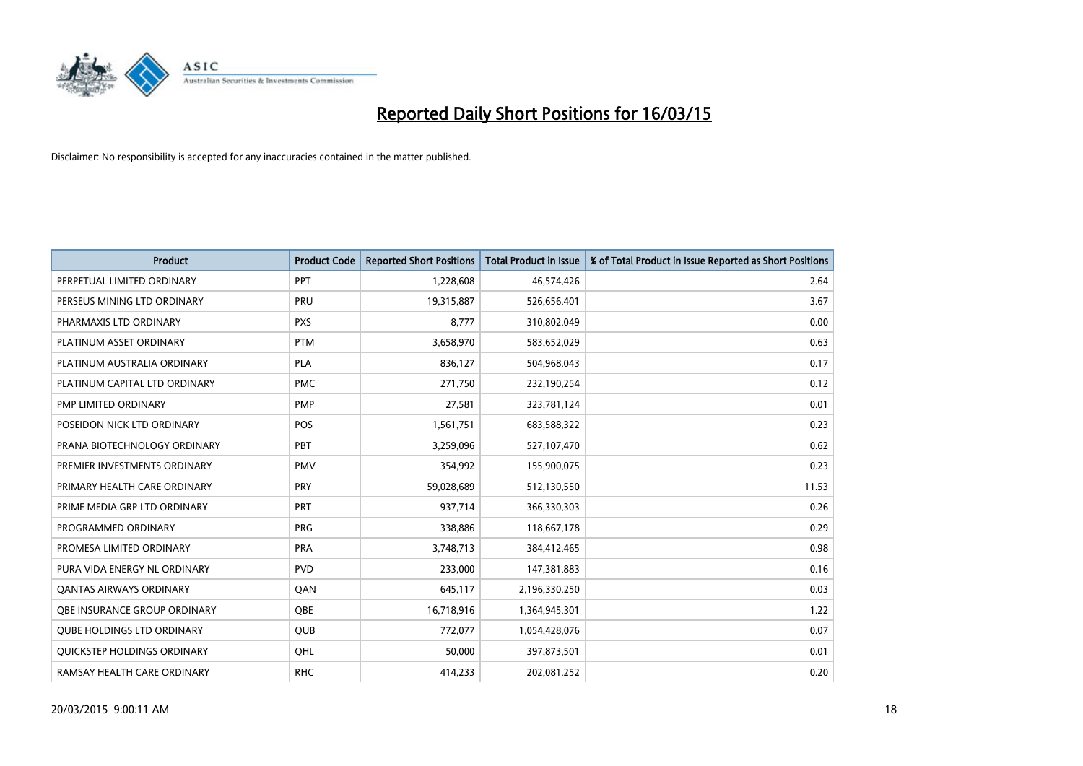

| <b>Product</b>                    | <b>Product Code</b> | <b>Reported Short Positions</b> | <b>Total Product in Issue</b> | % of Total Product in Issue Reported as Short Positions |
|-----------------------------------|---------------------|---------------------------------|-------------------------------|---------------------------------------------------------|
| PERPETUAL LIMITED ORDINARY        | PPT                 | 1,228,608                       | 46,574,426                    | 2.64                                                    |
| PERSEUS MINING LTD ORDINARY       | <b>PRU</b>          | 19,315,887                      | 526,656,401                   | 3.67                                                    |
| PHARMAXIS LTD ORDINARY            | <b>PXS</b>          | 8,777                           | 310,802,049                   | 0.00                                                    |
| PLATINUM ASSET ORDINARY           | <b>PTM</b>          | 3,658,970                       | 583,652,029                   | 0.63                                                    |
| PLATINUM AUSTRALIA ORDINARY       | <b>PLA</b>          | 836,127                         | 504,968,043                   | 0.17                                                    |
| PLATINUM CAPITAL LTD ORDINARY     | <b>PMC</b>          | 271,750                         | 232,190,254                   | 0.12                                                    |
| PMP LIMITED ORDINARY              | <b>PMP</b>          | 27,581                          | 323,781,124                   | 0.01                                                    |
| POSEIDON NICK LTD ORDINARY        | <b>POS</b>          | 1,561,751                       | 683,588,322                   | 0.23                                                    |
| PRANA BIOTECHNOLOGY ORDINARY      | <b>PBT</b>          | 3,259,096                       | 527,107,470                   | 0.62                                                    |
| PREMIER INVESTMENTS ORDINARY      | <b>PMV</b>          | 354,992                         | 155,900,075                   | 0.23                                                    |
| PRIMARY HEALTH CARE ORDINARY      | <b>PRY</b>          | 59,028,689                      | 512,130,550                   | 11.53                                                   |
| PRIME MEDIA GRP LTD ORDINARY      | <b>PRT</b>          | 937,714                         | 366,330,303                   | 0.26                                                    |
| PROGRAMMED ORDINARY               | <b>PRG</b>          | 338,886                         | 118,667,178                   | 0.29                                                    |
| PROMESA LIMITED ORDINARY          | <b>PRA</b>          | 3,748,713                       | 384,412,465                   | 0.98                                                    |
| PURA VIDA ENERGY NL ORDINARY      | <b>PVD</b>          | 233,000                         | 147,381,883                   | 0.16                                                    |
| <b>QANTAS AIRWAYS ORDINARY</b>    | QAN                 | 645,117                         | 2,196,330,250                 | 0.03                                                    |
| OBE INSURANCE GROUP ORDINARY      | <b>OBE</b>          | 16,718,916                      | 1,364,945,301                 | 1.22                                                    |
| <b>QUBE HOLDINGS LTD ORDINARY</b> | <b>QUB</b>          | 772,077                         | 1,054,428,076                 | 0.07                                                    |
| QUICKSTEP HOLDINGS ORDINARY       | OHL                 | 50,000                          | 397,873,501                   | 0.01                                                    |
| RAMSAY HEALTH CARE ORDINARY       | <b>RHC</b>          | 414,233                         | 202,081,252                   | 0.20                                                    |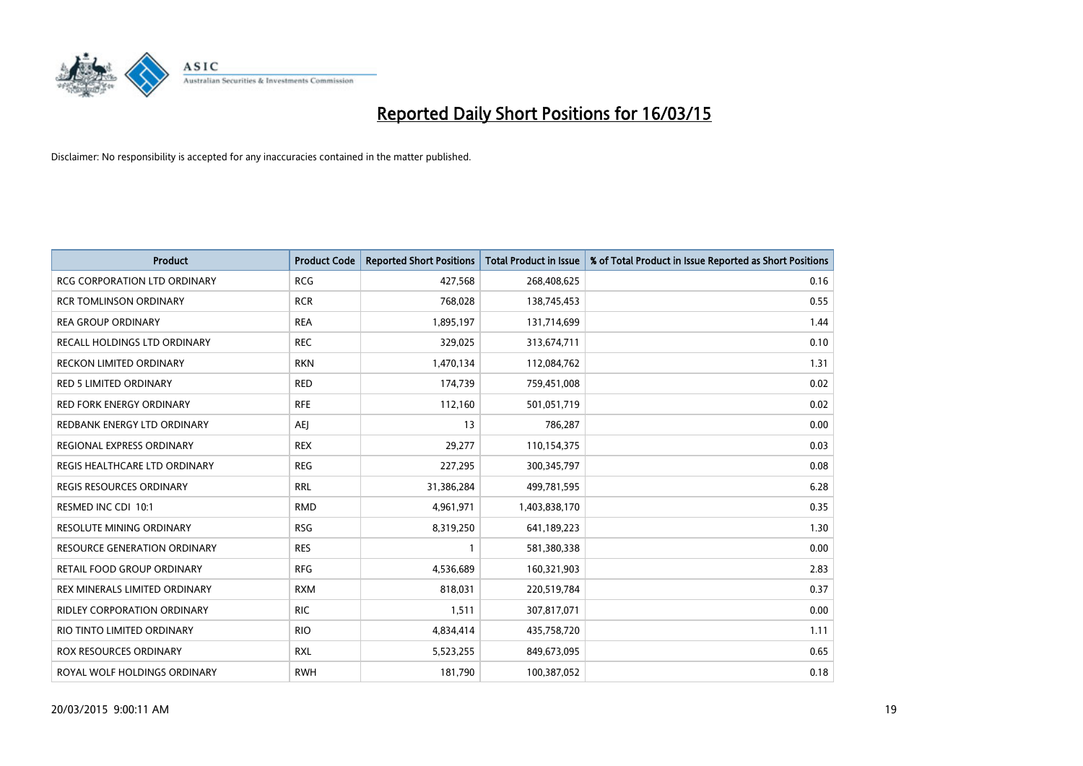

| <b>Product</b>                      | <b>Product Code</b> | <b>Reported Short Positions</b> | <b>Total Product in Issue</b> | % of Total Product in Issue Reported as Short Positions |
|-------------------------------------|---------------------|---------------------------------|-------------------------------|---------------------------------------------------------|
| <b>RCG CORPORATION LTD ORDINARY</b> | <b>RCG</b>          | 427,568                         | 268,408,625                   | 0.16                                                    |
| <b>RCR TOMLINSON ORDINARY</b>       | <b>RCR</b>          | 768,028                         | 138,745,453                   | 0.55                                                    |
| <b>REA GROUP ORDINARY</b>           | <b>REA</b>          | 1,895,197                       | 131,714,699                   | 1.44                                                    |
| RECALL HOLDINGS LTD ORDINARY        | <b>REC</b>          | 329,025                         | 313,674,711                   | 0.10                                                    |
| <b>RECKON LIMITED ORDINARY</b>      | <b>RKN</b>          | 1,470,134                       | 112,084,762                   | 1.31                                                    |
| <b>RED 5 LIMITED ORDINARY</b>       | <b>RED</b>          | 174,739                         | 759,451,008                   | 0.02                                                    |
| <b>RED FORK ENERGY ORDINARY</b>     | <b>RFE</b>          | 112,160                         | 501,051,719                   | 0.02                                                    |
| REDBANK ENERGY LTD ORDINARY         | AEJ                 | 13                              | 786,287                       | 0.00                                                    |
| REGIONAL EXPRESS ORDINARY           | <b>REX</b>          | 29,277                          | 110,154,375                   | 0.03                                                    |
| REGIS HEALTHCARE LTD ORDINARY       | <b>REG</b>          | 227,295                         | 300,345,797                   | 0.08                                                    |
| REGIS RESOURCES ORDINARY            | <b>RRL</b>          | 31,386,284                      | 499,781,595                   | 6.28                                                    |
| RESMED INC CDI 10:1                 | <b>RMD</b>          | 4,961,971                       | 1,403,838,170                 | 0.35                                                    |
| RESOLUTE MINING ORDINARY            | <b>RSG</b>          | 8,319,250                       | 641,189,223                   | 1.30                                                    |
| <b>RESOURCE GENERATION ORDINARY</b> | <b>RES</b>          | $\mathbf{1}$                    | 581,380,338                   | 0.00                                                    |
| RETAIL FOOD GROUP ORDINARY          | <b>RFG</b>          | 4,536,689                       | 160,321,903                   | 2.83                                                    |
| REX MINERALS LIMITED ORDINARY       | <b>RXM</b>          | 818,031                         | 220,519,784                   | 0.37                                                    |
| RIDLEY CORPORATION ORDINARY         | <b>RIC</b>          | 1,511                           | 307,817,071                   | 0.00                                                    |
| RIO TINTO LIMITED ORDINARY          | <b>RIO</b>          | 4,834,414                       | 435,758,720                   | 1.11                                                    |
| ROX RESOURCES ORDINARY              | <b>RXL</b>          | 5,523,255                       | 849,673,095                   | 0.65                                                    |
| ROYAL WOLF HOLDINGS ORDINARY        | <b>RWH</b>          | 181,790                         | 100,387,052                   | 0.18                                                    |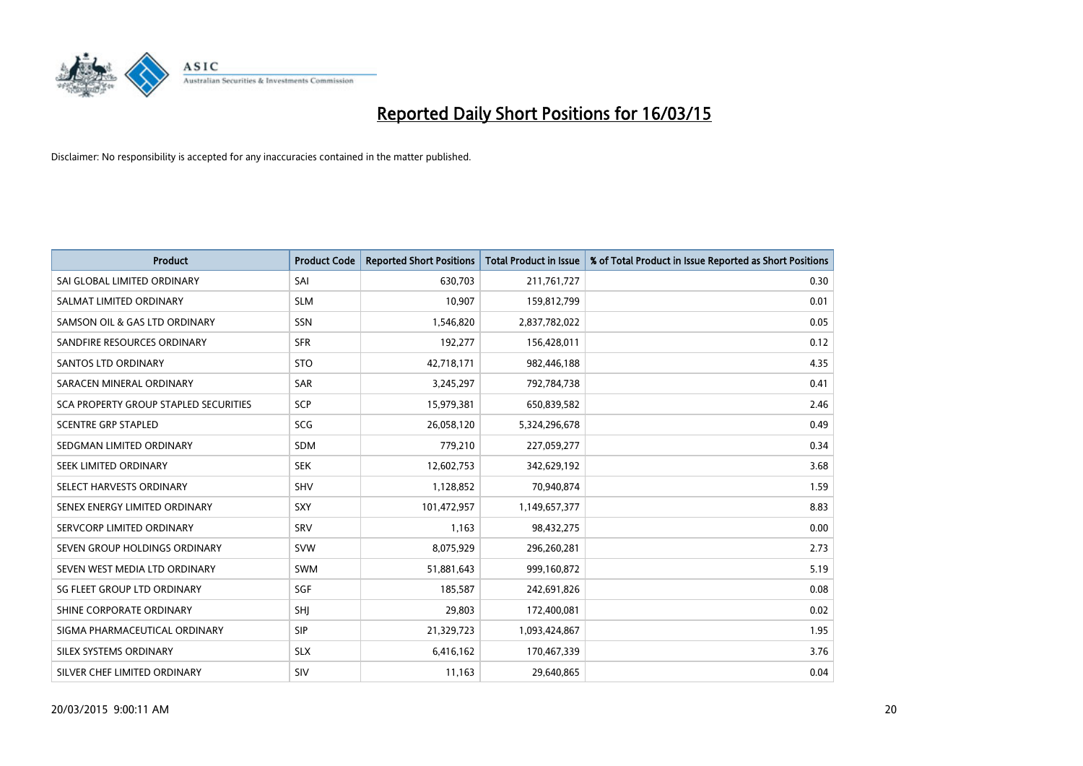

| <b>Product</b>                        | <b>Product Code</b> | <b>Reported Short Positions</b> | <b>Total Product in Issue</b> | % of Total Product in Issue Reported as Short Positions |
|---------------------------------------|---------------------|---------------------------------|-------------------------------|---------------------------------------------------------|
| SAI GLOBAL LIMITED ORDINARY           | SAI                 | 630,703                         | 211,761,727                   | 0.30                                                    |
| SALMAT LIMITED ORDINARY               | <b>SLM</b>          | 10,907                          | 159,812,799                   | 0.01                                                    |
| SAMSON OIL & GAS LTD ORDINARY         | <b>SSN</b>          | 1,546,820                       | 2,837,782,022                 | 0.05                                                    |
| SANDFIRE RESOURCES ORDINARY           | <b>SFR</b>          | 192,277                         | 156,428,011                   | 0.12                                                    |
| SANTOS LTD ORDINARY                   | <b>STO</b>          | 42,718,171                      | 982,446,188                   | 4.35                                                    |
| SARACEN MINERAL ORDINARY              | SAR                 | 3,245,297                       | 792,784,738                   | 0.41                                                    |
| SCA PROPERTY GROUP STAPLED SECURITIES | <b>SCP</b>          | 15,979,381                      | 650,839,582                   | 2.46                                                    |
| <b>SCENTRE GRP STAPLED</b>            | SCG                 | 26,058,120                      | 5,324,296,678                 | 0.49                                                    |
| SEDGMAN LIMITED ORDINARY              | <b>SDM</b>          | 779,210                         | 227,059,277                   | 0.34                                                    |
| SEEK LIMITED ORDINARY                 | <b>SEK</b>          | 12,602,753                      | 342,629,192                   | 3.68                                                    |
| SELECT HARVESTS ORDINARY              | SHV                 | 1,128,852                       | 70,940,874                    | 1.59                                                    |
| SENEX ENERGY LIMITED ORDINARY         | <b>SXY</b>          | 101,472,957                     | 1,149,657,377                 | 8.83                                                    |
| SERVCORP LIMITED ORDINARY             | SRV                 | 1,163                           | 98,432,275                    | 0.00                                                    |
| SEVEN GROUP HOLDINGS ORDINARY         | <b>SVW</b>          | 8,075,929                       | 296,260,281                   | 2.73                                                    |
| SEVEN WEST MEDIA LTD ORDINARY         | <b>SWM</b>          | 51,881,643                      | 999,160,872                   | 5.19                                                    |
| SG FLEET GROUP LTD ORDINARY           | SGF                 | 185,587                         | 242,691,826                   | 0.08                                                    |
| SHINE CORPORATE ORDINARY              | SHJ                 | 29,803                          | 172,400,081                   | 0.02                                                    |
| SIGMA PHARMACEUTICAL ORDINARY         | <b>SIP</b>          | 21,329,723                      | 1,093,424,867                 | 1.95                                                    |
| SILEX SYSTEMS ORDINARY                | <b>SLX</b>          | 6,416,162                       | 170,467,339                   | 3.76                                                    |
| SILVER CHEF LIMITED ORDINARY          | SIV                 | 11,163                          | 29,640,865                    | 0.04                                                    |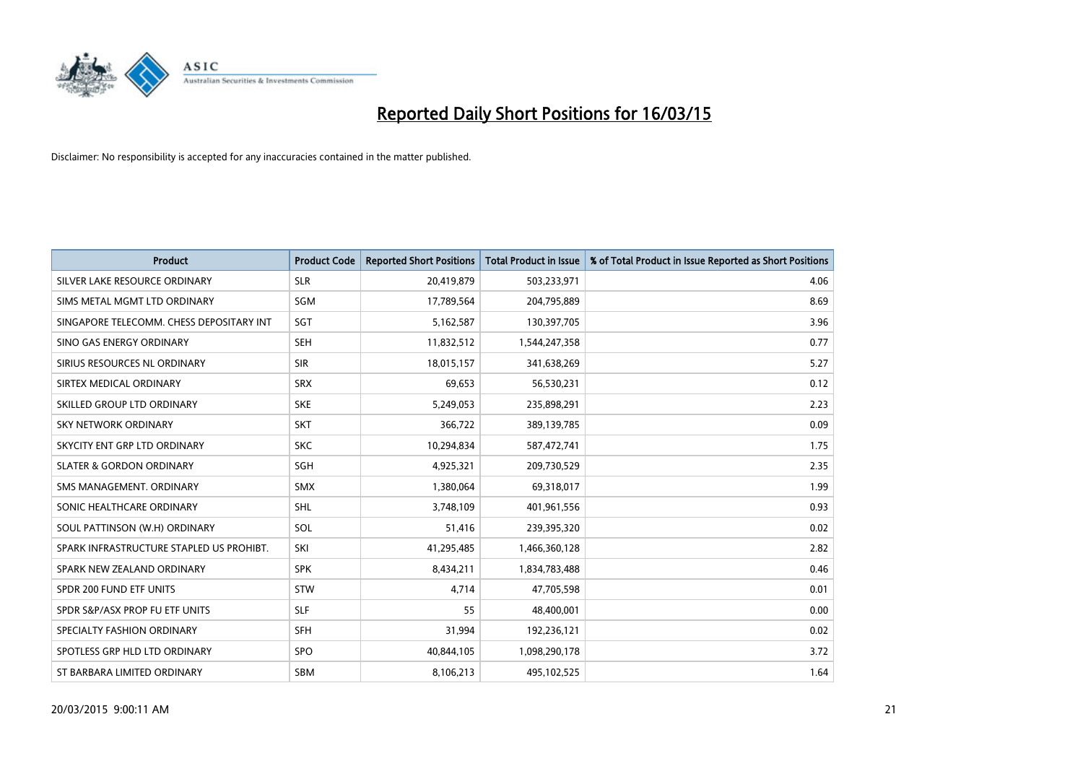

| <b>Product</b>                           | <b>Product Code</b> | <b>Reported Short Positions</b> | <b>Total Product in Issue</b> | % of Total Product in Issue Reported as Short Positions |
|------------------------------------------|---------------------|---------------------------------|-------------------------------|---------------------------------------------------------|
| SILVER LAKE RESOURCE ORDINARY            | <b>SLR</b>          | 20,419,879                      | 503,233,971                   | 4.06                                                    |
| SIMS METAL MGMT LTD ORDINARY             | <b>SGM</b>          | 17,789,564                      | 204,795,889                   | 8.69                                                    |
| SINGAPORE TELECOMM. CHESS DEPOSITARY INT | SGT                 | 5,162,587                       | 130,397,705                   | 3.96                                                    |
| SINO GAS ENERGY ORDINARY                 | <b>SEH</b>          | 11,832,512                      | 1,544,247,358                 | 0.77                                                    |
| SIRIUS RESOURCES NL ORDINARY             | <b>SIR</b>          | 18,015,157                      | 341,638,269                   | 5.27                                                    |
| SIRTEX MEDICAL ORDINARY                  | <b>SRX</b>          | 69,653                          | 56,530,231                    | 0.12                                                    |
| SKILLED GROUP LTD ORDINARY               | <b>SKE</b>          | 5,249,053                       | 235,898,291                   | 2.23                                                    |
| SKY NETWORK ORDINARY                     | <b>SKT</b>          | 366,722                         | 389,139,785                   | 0.09                                                    |
| SKYCITY ENT GRP LTD ORDINARY             | <b>SKC</b>          | 10,294,834                      | 587,472,741                   | 1.75                                                    |
| <b>SLATER &amp; GORDON ORDINARY</b>      | SGH                 | 4,925,321                       | 209,730,529                   | 2.35                                                    |
| SMS MANAGEMENT. ORDINARY                 | SMX                 | 1,380,064                       | 69,318,017                    | 1.99                                                    |
| SONIC HEALTHCARE ORDINARY                | <b>SHL</b>          | 3,748,109                       | 401,961,556                   | 0.93                                                    |
| SOUL PATTINSON (W.H) ORDINARY            | SOL                 | 51,416                          | 239,395,320                   | 0.02                                                    |
| SPARK INFRASTRUCTURE STAPLED US PROHIBT. | SKI                 | 41,295,485                      | 1,466,360,128                 | 2.82                                                    |
| SPARK NEW ZEALAND ORDINARY               | <b>SPK</b>          | 8,434,211                       | 1,834,783,488                 | 0.46                                                    |
| SPDR 200 FUND ETF UNITS                  | <b>STW</b>          | 4,714                           | 47,705,598                    | 0.01                                                    |
| SPDR S&P/ASX PROP FU ETF UNITS           | <b>SLF</b>          | 55                              | 48,400,001                    | 0.00                                                    |
| SPECIALTY FASHION ORDINARY               | <b>SFH</b>          | 31,994                          | 192,236,121                   | 0.02                                                    |
| SPOTLESS GRP HLD LTD ORDINARY            | <b>SPO</b>          | 40,844,105                      | 1,098,290,178                 | 3.72                                                    |
| ST BARBARA LIMITED ORDINARY              | <b>SBM</b>          | 8,106,213                       | 495,102,525                   | 1.64                                                    |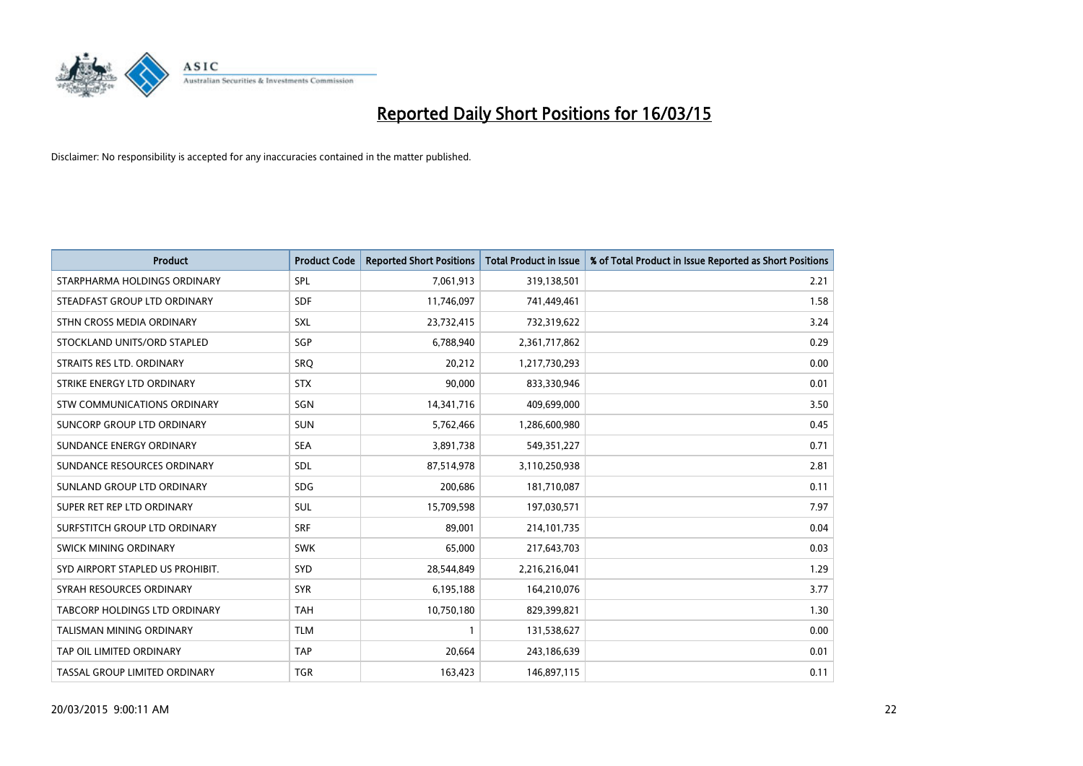

| Product                          | <b>Product Code</b> | <b>Reported Short Positions</b> | <b>Total Product in Issue</b> | % of Total Product in Issue Reported as Short Positions |
|----------------------------------|---------------------|---------------------------------|-------------------------------|---------------------------------------------------------|
| STARPHARMA HOLDINGS ORDINARY     | SPL                 | 7,061,913                       | 319,138,501                   | 2.21                                                    |
| STEADFAST GROUP LTD ORDINARY     | <b>SDF</b>          | 11,746,097                      | 741,449,461                   | 1.58                                                    |
| STHN CROSS MEDIA ORDINARY        | <b>SXL</b>          | 23,732,415                      | 732,319,622                   | 3.24                                                    |
| STOCKLAND UNITS/ORD STAPLED      | SGP                 | 6,788,940                       | 2,361,717,862                 | 0.29                                                    |
| STRAITS RES LTD. ORDINARY        | SRO                 | 20,212                          | 1,217,730,293                 | 0.00                                                    |
| STRIKE ENERGY LTD ORDINARY       | <b>STX</b>          | 90,000                          | 833,330,946                   | 0.01                                                    |
| STW COMMUNICATIONS ORDINARY      | SGN                 | 14,341,716                      | 409,699,000                   | 3.50                                                    |
| SUNCORP GROUP LTD ORDINARY       | <b>SUN</b>          | 5,762,466                       | 1,286,600,980                 | 0.45                                                    |
| SUNDANCE ENERGY ORDINARY         | <b>SEA</b>          | 3,891,738                       | 549,351,227                   | 0.71                                                    |
| SUNDANCE RESOURCES ORDINARY      | SDL                 | 87,514,978                      | 3,110,250,938                 | 2.81                                                    |
| SUNLAND GROUP LTD ORDINARY       | <b>SDG</b>          | 200,686                         | 181,710,087                   | 0.11                                                    |
| SUPER RET REP LTD ORDINARY       | SUL                 | 15,709,598                      | 197,030,571                   | 7.97                                                    |
| SURFSTITCH GROUP LTD ORDINARY    | <b>SRF</b>          | 89,001                          | 214, 101, 735                 | 0.04                                                    |
| SWICK MINING ORDINARY            | <b>SWK</b>          | 65,000                          | 217,643,703                   | 0.03                                                    |
| SYD AIRPORT STAPLED US PROHIBIT. | <b>SYD</b>          | 28,544,849                      | 2,216,216,041                 | 1.29                                                    |
| SYRAH RESOURCES ORDINARY         | <b>SYR</b>          | 6,195,188                       | 164,210,076                   | 3.77                                                    |
| TABCORP HOLDINGS LTD ORDINARY    | <b>TAH</b>          | 10,750,180                      | 829,399,821                   | 1.30                                                    |
| TALISMAN MINING ORDINARY         | <b>TLM</b>          | $\mathbf{1}$                    | 131,538,627                   | 0.00                                                    |
| TAP OIL LIMITED ORDINARY         | <b>TAP</b>          | 20,664                          | 243,186,639                   | 0.01                                                    |
| TASSAL GROUP LIMITED ORDINARY    | <b>TGR</b>          | 163,423                         | 146,897,115                   | 0.11                                                    |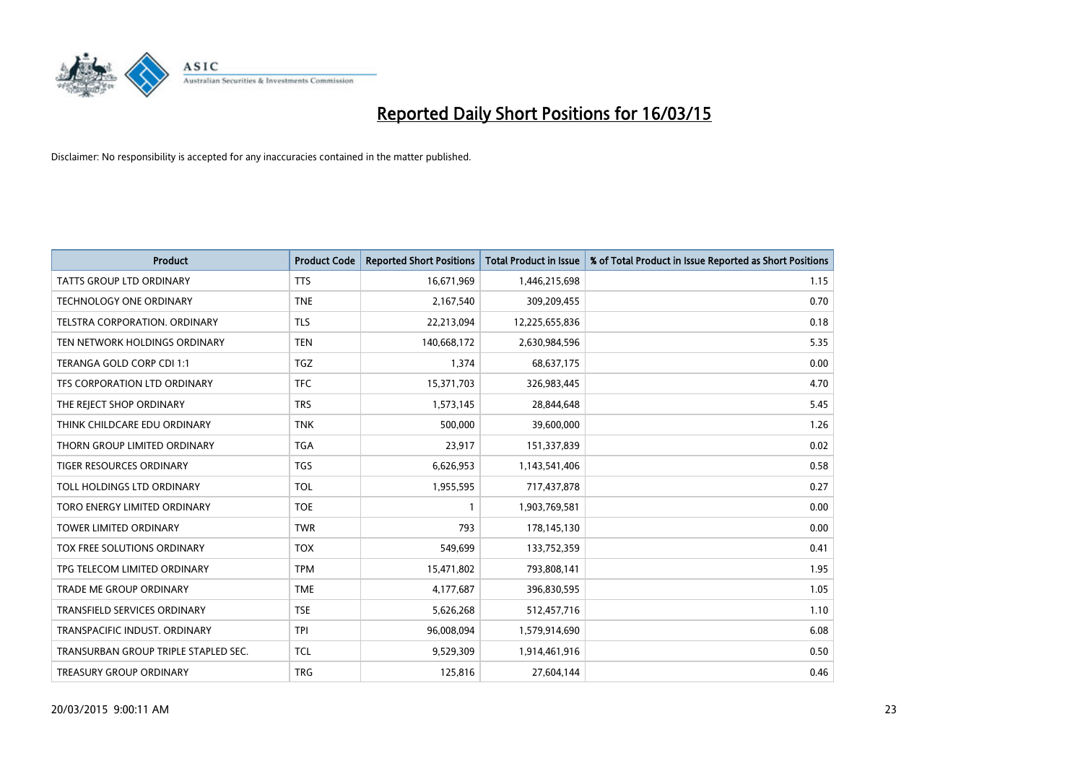

| <b>Product</b>                       | <b>Product Code</b> | <b>Reported Short Positions</b> | <b>Total Product in Issue</b> | % of Total Product in Issue Reported as Short Positions |
|--------------------------------------|---------------------|---------------------------------|-------------------------------|---------------------------------------------------------|
| <b>TATTS GROUP LTD ORDINARY</b>      | <b>TTS</b>          | 16,671,969                      | 1,446,215,698                 | 1.15                                                    |
| TECHNOLOGY ONE ORDINARY              | <b>TNE</b>          | 2,167,540                       | 309,209,455                   | 0.70                                                    |
| TELSTRA CORPORATION, ORDINARY        | <b>TLS</b>          | 22,213,094                      | 12,225,655,836                | 0.18                                                    |
| TEN NETWORK HOLDINGS ORDINARY        | <b>TEN</b>          | 140,668,172                     | 2,630,984,596                 | 5.35                                                    |
| TERANGA GOLD CORP CDI 1:1            | <b>TGZ</b>          | 1,374                           | 68,637,175                    | 0.00                                                    |
| TFS CORPORATION LTD ORDINARY         | <b>TFC</b>          | 15,371,703                      | 326,983,445                   | 4.70                                                    |
| THE REJECT SHOP ORDINARY             | <b>TRS</b>          | 1,573,145                       | 28,844,648                    | 5.45                                                    |
| THINK CHILDCARE EDU ORDINARY         | <b>TNK</b>          | 500,000                         | 39,600,000                    | 1.26                                                    |
| THORN GROUP LIMITED ORDINARY         | <b>TGA</b>          | 23,917                          | 151,337,839                   | 0.02                                                    |
| TIGER RESOURCES ORDINARY             | <b>TGS</b>          | 6,626,953                       | 1,143,541,406                 | 0.58                                                    |
| TOLL HOLDINGS LTD ORDINARY           | <b>TOL</b>          | 1,955,595                       | 717,437,878                   | 0.27                                                    |
| TORO ENERGY LIMITED ORDINARY         | <b>TOE</b>          | $\mathbf{1}$                    | 1,903,769,581                 | 0.00                                                    |
| <b>TOWER LIMITED ORDINARY</b>        | <b>TWR</b>          | 793                             | 178,145,130                   | 0.00                                                    |
| TOX FREE SOLUTIONS ORDINARY          | <b>TOX</b>          | 549,699                         | 133,752,359                   | 0.41                                                    |
| TPG TELECOM LIMITED ORDINARY         | <b>TPM</b>          | 15,471,802                      | 793,808,141                   | 1.95                                                    |
| TRADE ME GROUP ORDINARY              | <b>TME</b>          | 4,177,687                       | 396,830,595                   | 1.05                                                    |
| TRANSFIELD SERVICES ORDINARY         | <b>TSE</b>          | 5,626,268                       | 512,457,716                   | 1.10                                                    |
| <b>TRANSPACIFIC INDUST, ORDINARY</b> | <b>TPI</b>          | 96,008,094                      | 1,579,914,690                 | 6.08                                                    |
| TRANSURBAN GROUP TRIPLE STAPLED SEC. | <b>TCL</b>          | 9,529,309                       | 1,914,461,916                 | 0.50                                                    |
| <b>TREASURY GROUP ORDINARY</b>       | <b>TRG</b>          | 125,816                         | 27,604,144                    | 0.46                                                    |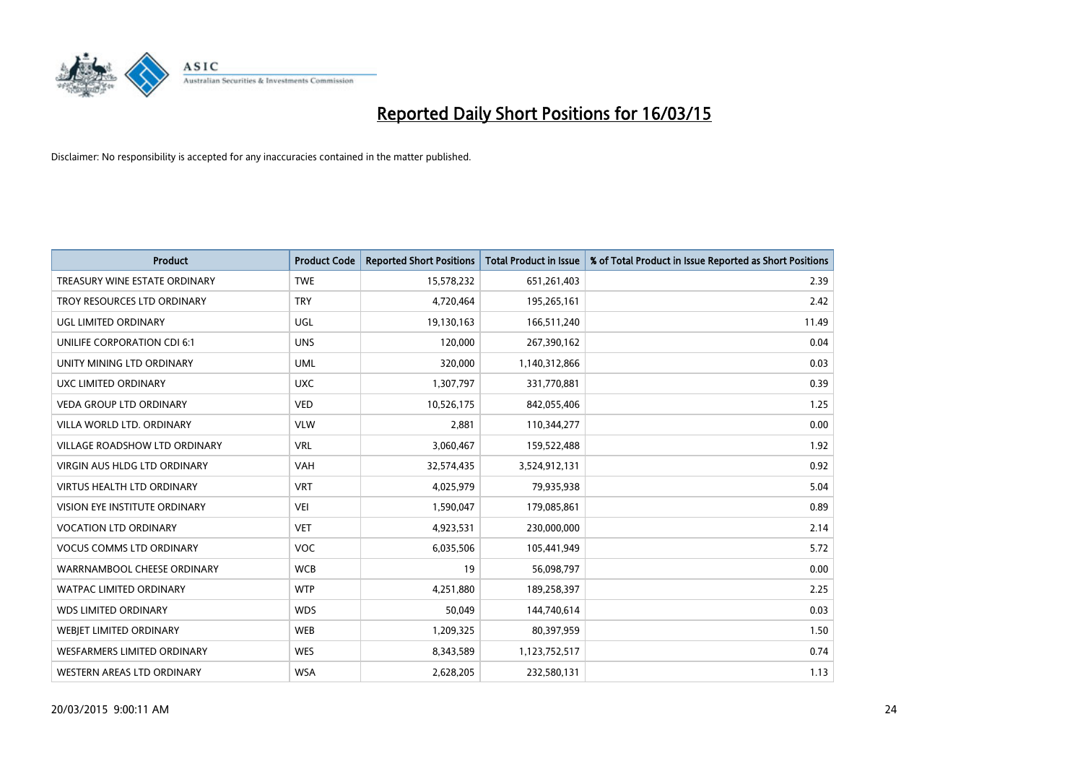

| <b>Product</b>                       | <b>Product Code</b> | <b>Reported Short Positions</b> | <b>Total Product in Issue</b> | % of Total Product in Issue Reported as Short Positions |
|--------------------------------------|---------------------|---------------------------------|-------------------------------|---------------------------------------------------------|
| TREASURY WINE ESTATE ORDINARY        | <b>TWE</b>          | 15,578,232                      | 651,261,403                   | 2.39                                                    |
| TROY RESOURCES LTD ORDINARY          | <b>TRY</b>          | 4,720,464                       | 195,265,161                   | 2.42                                                    |
| UGL LIMITED ORDINARY                 | UGL                 | 19,130,163                      | 166,511,240                   | 11.49                                                   |
| UNILIFE CORPORATION CDI 6:1          | <b>UNS</b>          | 120,000                         | 267,390,162                   | 0.04                                                    |
| UNITY MINING LTD ORDINARY            | <b>UML</b>          | 320,000                         | 1,140,312,866                 | 0.03                                                    |
| UXC LIMITED ORDINARY                 | <b>UXC</b>          | 1,307,797                       | 331,770,881                   | 0.39                                                    |
| <b>VEDA GROUP LTD ORDINARY</b>       | <b>VED</b>          | 10,526,175                      | 842,055,406                   | 1.25                                                    |
| VILLA WORLD LTD. ORDINARY            | <b>VLW</b>          | 2,881                           | 110,344,277                   | 0.00                                                    |
| <b>VILLAGE ROADSHOW LTD ORDINARY</b> | <b>VRL</b>          | 3,060,467                       | 159,522,488                   | 1.92                                                    |
| VIRGIN AUS HLDG LTD ORDINARY         | <b>VAH</b>          | 32,574,435                      | 3,524,912,131                 | 0.92                                                    |
| <b>VIRTUS HEALTH LTD ORDINARY</b>    | <b>VRT</b>          | 4,025,979                       | 79,935,938                    | 5.04                                                    |
| VISION EYE INSTITUTE ORDINARY        | <b>VEI</b>          | 1,590,047                       | 179,085,861                   | 0.89                                                    |
| <b>VOCATION LTD ORDINARY</b>         | <b>VET</b>          | 4,923,531                       | 230,000,000                   | 2.14                                                    |
| <b>VOCUS COMMS LTD ORDINARY</b>      | <b>VOC</b>          | 6,035,506                       | 105,441,949                   | 5.72                                                    |
| WARRNAMBOOL CHEESE ORDINARY          | <b>WCB</b>          | 19                              | 56,098,797                    | 0.00                                                    |
| <b>WATPAC LIMITED ORDINARY</b>       | <b>WTP</b>          | 4,251,880                       | 189,258,397                   | 2.25                                                    |
| <b>WDS LIMITED ORDINARY</b>          | <b>WDS</b>          | 50,049                          | 144,740,614                   | 0.03                                                    |
| WEBJET LIMITED ORDINARY              | <b>WEB</b>          | 1,209,325                       | 80,397,959                    | 1.50                                                    |
| <b>WESFARMERS LIMITED ORDINARY</b>   | <b>WES</b>          | 8,343,589                       | 1,123,752,517                 | 0.74                                                    |
| WESTERN AREAS LTD ORDINARY           | <b>WSA</b>          | 2,628,205                       | 232,580,131                   | 1.13                                                    |